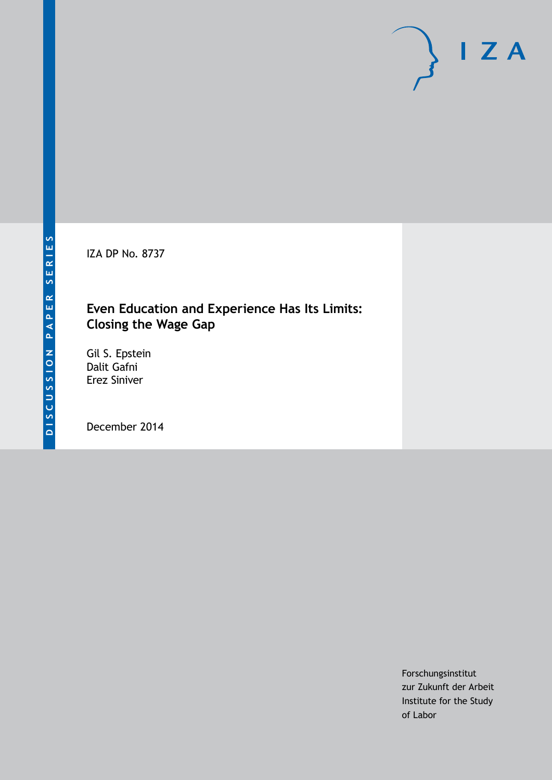IZA DP No. 8737

# **Even Education and Experience Has Its Limits: Closing the Wage Gap**

Gil S. Epstein Dalit Gafni Erez Siniver

December 2014

Forschungsinstitut zur Zukunft der Arbeit Institute for the Study of Labor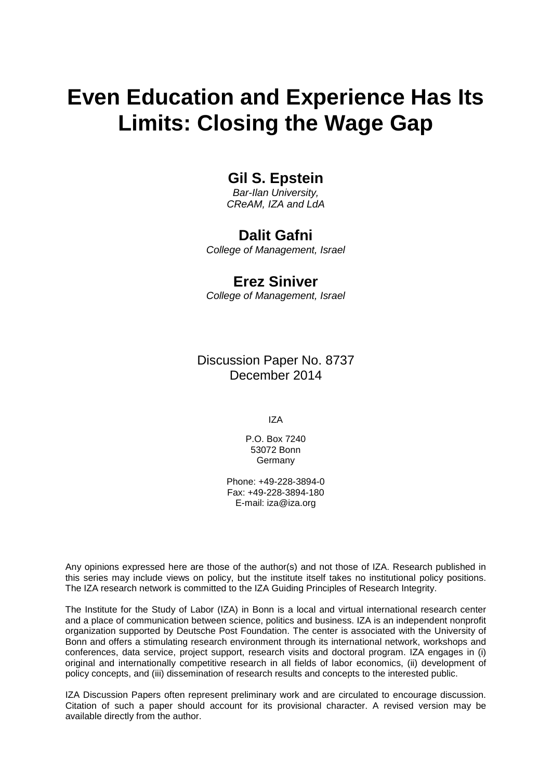# **Even Education and Experience Has Its Limits: Closing the Wage Gap**

### **Gil S. Epstein**

*Bar-Ilan University, CReAM, IZA and LdA*

### **Dalit Gafni**

*College of Management, Israel*

### **Erez Siniver**

*College of Management, Israel*

Discussion Paper No. 8737 December 2014

IZA

P.O. Box 7240 53072 Bonn **Germany** 

Phone: +49-228-3894-0 Fax: +49-228-3894-180 E-mail: [iza@iza.org](mailto:iza@iza.org)

Any opinions expressed here are those of the author(s) and not those of IZA. Research published in this series may include views on policy, but the institute itself takes no institutional policy positions. The IZA research network is committed to the IZA Guiding Principles of Research Integrity.

The Institute for the Study of Labor (IZA) in Bonn is a local and virtual international research center and a place of communication between science, politics and business. IZA is an independent nonprofit organization supported by Deutsche Post Foundation. The center is associated with the University of Bonn and offers a stimulating research environment through its international network, workshops and conferences, data service, project support, research visits and doctoral program. IZA engages in (i) original and internationally competitive research in all fields of labor economics, (ii) development of policy concepts, and (iii) dissemination of research results and concepts to the interested public.

<span id="page-1-0"></span>IZA Discussion Papers often represent preliminary work and are circulated to encourage discussion. Citation of such a paper should account for its provisional character. A revised version may be available directly from the author.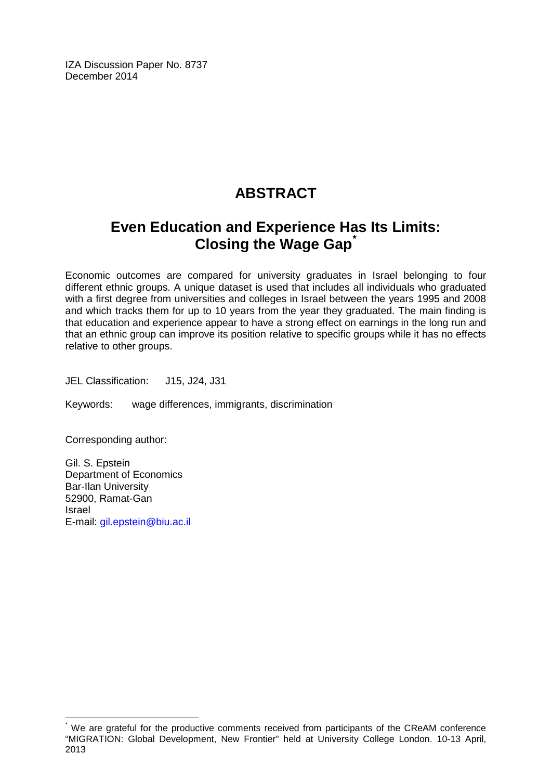IZA Discussion Paper No. 8737 December 2014

# **ABSTRACT**

# **Even Education and Experience Has Its Limits: Closing the Wage Gap[\\*](#page-1-0)**

Economic outcomes are compared for university graduates in Israel belonging to four different ethnic groups. A unique dataset is used that includes all individuals who graduated with a first degree from universities and colleges in Israel between the years 1995 and 2008 and which tracks them for up to 10 years from the year they graduated. The main finding is that education and experience appear to have a strong effect on earnings in the long run and that an ethnic group can improve its position relative to specific groups while it has no effects relative to other groups.

JEL Classification: J15, J24, J31

Keywords: wage differences, immigrants, discrimination

Corresponding author:

Gil. S. Epstein Department of Economics Bar-Ilan University 52900, Ramat-Gan Israel E-mail: [gil.epstein@biu.ac.il](mailto:gil.epstein@biu.ac.il)

We are grateful for the productive comments received from participants of the CReAM conference "MIGRATION: Global Development, New Frontier" held at University College London. 10-13 April, 2013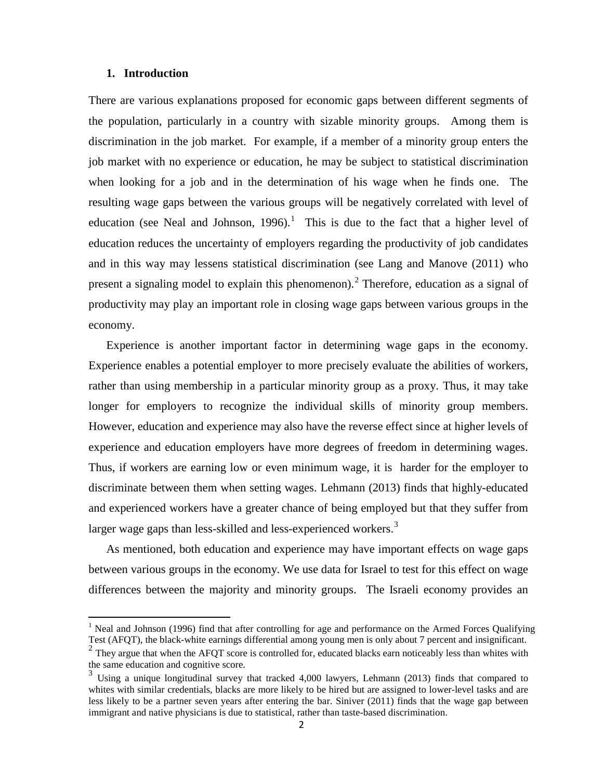#### **1. Introduction**

There are various explanations proposed for economic gaps between different segments of the population, particularly in a country with sizable minority groups. Among them is discrimination in the job market. For example, if a member of a minority group enters the job market with no experience or education, he may be subject to statistical discrimination when looking for a job and in the determination of his wage when he finds one. The resulting wage gaps between the various groups will be negatively correlated with level of education (see Neal and Johnson, 1996).<sup>1</sup> This is due to the fact that a higher level of education reduces the uncertainty of employers regarding the productivity of job candidates and in this way may lessens statistical discrimination (see Lang and Manove (2011) who present a signaling model to explain this phenomenon).<sup>2</sup> Therefore, education as a signal of productivity may play an important role in closing wage gaps between various groups in the economy.

Experience is another important factor in determining wage gaps in the economy. Experience enables a potential employer to more precisely evaluate the abilities of workers, rather than using membership in a particular minority group as a proxy. Thus, it may take longer for employers to recognize the individual skills of minority group members. However, education and experience may also have the reverse effect since at higher levels of experience and education employers have more degrees of freedom in determining wages. Thus, if workers are earning low or even minimum wage, it is harder for the employer to discriminate between them when setting wages. Lehmann (2013) finds that highly-educated and experienced workers have a greater chance of being employed but that they suffer from larger wage gaps than less-skilled and less-experienced workers.<sup>3</sup>

As mentioned, both education and experience may have important effects on wage gaps between various groups in the economy. We use data for Israel to test for this effect on wage differences between the majority and minority groups. The Israeli economy provides an

<sup>&</sup>lt;sup>1</sup> Neal and Johnson (1996) find that after controlling for age and performance on the Armed Forces Qualifying Test (AFQT), the black-white earnings differential among young men is only about 7 percent and insignificant.

 $2$  They argue that when the AFOT score is controlled for, educated blacks earn noticeably less than whites with the same education and cognitive score.

 $3$  Using a unique longitudinal survey that tracked 4,000 lawyers, Lehmann (2013) finds that compared to whites with similar credentials, blacks are more likely to be hired but are assigned to lower-level tasks and are less likely to be a partner seven years after entering the bar. Siniver (2011) finds that the wage gap between immigrant and native physicians is due to statistical, rather than taste-based discrimination.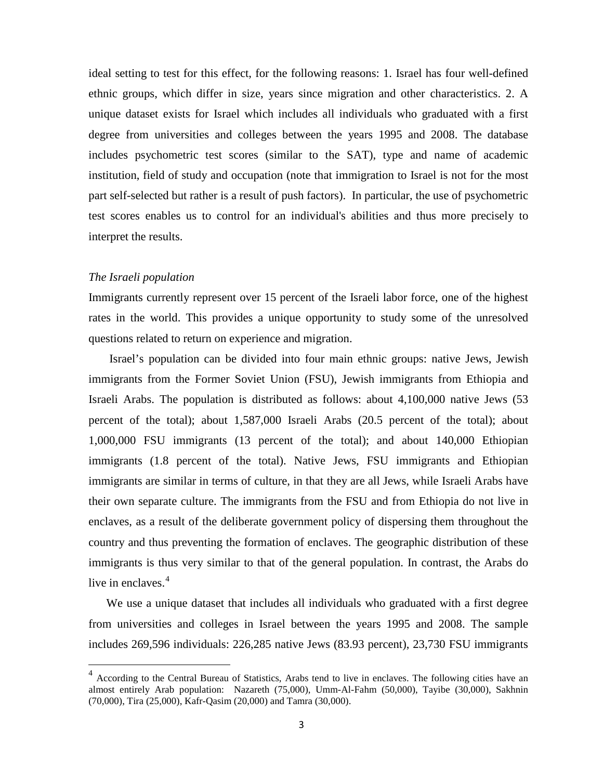ideal setting to test for this effect, for the following reasons: 1. Israel has four well-defined ethnic groups, which differ in size, years since migration and other characteristics. 2. A unique dataset exists for Israel which includes all individuals who graduated with a first degree from universities and colleges between the years 1995 and 2008. The database includes psychometric test scores (similar to the SAT), type and name of academic institution, field of study and occupation (note that immigration to Israel is not for the most part self-selected but rather is a result of push factors). In particular, the use of psychometric test scores enables us to control for an individual's abilities and thus more precisely to interpret the results.

#### *The Israeli population*

Immigrants currently represent over 15 percent of the Israeli labor force, one of the highest rates in the world. This provides a unique opportunity to study some of the unresolved questions related to return on experience and migration.

Israel's population can be divided into four main ethnic groups: native Jews, Jewish immigrants from the Former Soviet Union (FSU), Jewish immigrants from Ethiopia and Israeli Arabs. The population is distributed as follows: about 4,100,000 native Jews (53 percent of the total); about 1,587,000 Israeli Arabs (20.5 percent of the total); about 1,000,000 FSU immigrants (13 percent of the total); and about 140,000 Ethiopian immigrants (1.8 percent of the total). Native Jews, FSU immigrants and Ethiopian immigrants are similar in terms of culture, in that they are all Jews, while Israeli Arabs have their own separate culture. The immigrants from the FSU and from Ethiopia do not live in enclaves, as a result of the deliberate government policy of dispersing them throughout the country and thus preventing the formation of enclaves. The geographic distribution of these immigrants is thus very similar to that of the general population. In contrast, the Arabs do live in enclaves.<sup>4</sup>

We use a unique dataset that includes all individuals who graduated with a first degree from universities and colleges in Israel between the years 1995 and 2008. The sample includes 269,596 individuals: 226,285 native Jews (83.93 percent), 23,730 FSU immigrants

<sup>&</sup>lt;sup>4</sup> According to the Central Bureau of Statistics, Arabs tend to live in enclaves. The following cities have an almost entirely Arab population: Nazareth (75,000), Umm-Al-Fahm (50,000), Tayibe (30,000), Sakhnin (70,000), Tira (25,000), Kafr-Qasim (20,000) and Tamra (30,000).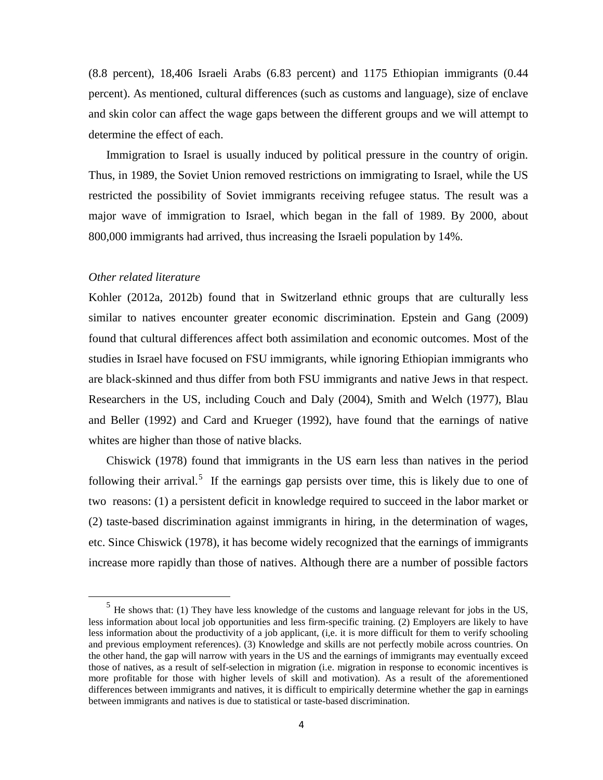(8.8 percent), 18,406 Israeli Arabs (6.83 percent) and 1175 Ethiopian immigrants (0.44 percent). As mentioned, cultural differences (such as customs and language), size of enclave and skin color can affect the wage gaps between the different groups and we will attempt to determine the effect of each.

Immigration to Israel is usually induced by political pressure in the country of origin. Thus, in 1989, the Soviet Union removed restrictions on immigrating to Israel, while the US restricted the possibility of Soviet immigrants receiving refugee status. The result was a major wave of immigration to Israel, which began in the fall of 1989. By 2000, about 800,000 immigrants had arrived, thus increasing the Israeli population by 14%.

#### *Other related literature*

Kohler (2012a, 2012b) found that in Switzerland ethnic groups that are culturally less similar to natives encounter greater economic discrimination. Epstein and Gang (2009) found that cultural differences affect both assimilation and economic outcomes. Most of the studies in Israel have focused on FSU immigrants, while ignoring Ethiopian immigrants who are black-skinned and thus differ from both FSU immigrants and native Jews in that respect. Researchers in the US, including Couch and Daly (2004), Smith and Welch (1977), Blau and Beller (1992) and Card and Krueger (1992), have found that the earnings of native whites are higher than those of native blacks.

Chiswick (1978) found that immigrants in the US earn less than natives in the period following their arrival.<sup>5</sup> If the earnings gap persists over time, this is likely due to one of two reasons: (1) a persistent deficit in knowledge required to succeed in the labor market or (2) taste-based discrimination against immigrants in hiring, in the determination of wages, etc. Since Chiswick (1978), it has become widely recognized that the earnings of immigrants increase more rapidly than those of natives. Although there are a number of possible factors

 $<sup>5</sup>$  He shows that: (1) They have less knowledge of the customs and language relevant for jobs in the US,</sup> less information about local job opportunities and less firm-specific training. (2) Employers are likely to have less information about the productivity of a job applicant, (i,e. it is more difficult for them to verify schooling and previous employment references). (3) Knowledge and skills are not perfectly mobile across countries. On the other hand, the gap will narrow with years in the US and the earnings of immigrants may eventually exceed those of natives, as a result of self-selection in migration (i.e. migration in response to economic incentives is more profitable for those with higher levels of skill and motivation). As a result of the aforementioned differences between immigrants and natives, it is difficult to empirically determine whether the gap in earnings between immigrants and natives is due to statistical or taste-based discrimination.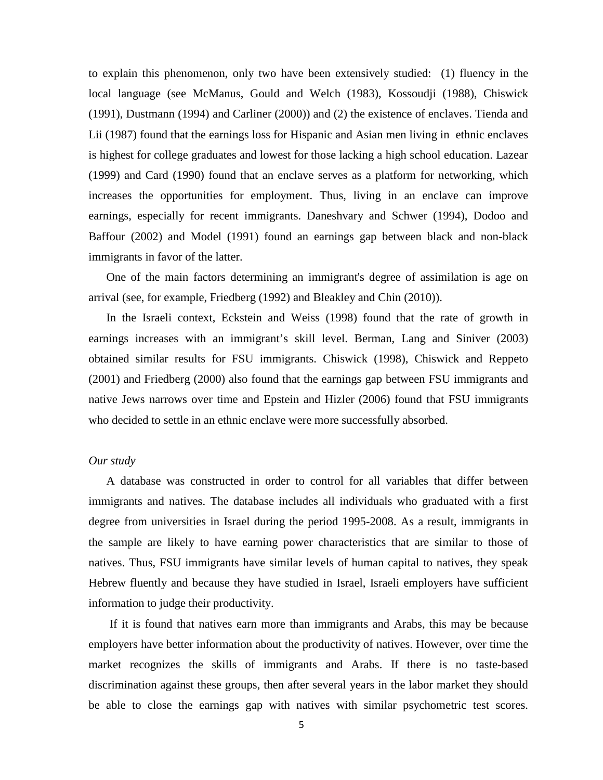to explain this phenomenon, only two have been extensively studied: (1) fluency in the local language (see McManus, Gould and Welch (1983), Kossoudji (1988), Chiswick (1991), Dustmann (1994) and Carliner (2000)) and (2) the existence of enclaves. Tienda and Lii (1987) found that the earnings loss for Hispanic and Asian men living in ethnic enclaves is highest for college graduates and lowest for those lacking a high school education. Lazear (1999) and Card (1990) found that an enclave serves as a platform for networking, which increases the opportunities for employment. Thus, living in an enclave can improve earnings, especially for recent immigrants. Daneshvary and Schwer (1994), Dodoo and Baffour (2002) and Model (1991) found an earnings gap between black and non-black immigrants in favor of the latter.

One of the main factors determining an immigrant's degree of assimilation is age on arrival (see, for example, Friedberg (1992) and Bleakley and Chin (2010)).

In the Israeli context, Eckstein and Weiss (1998) found that the rate of growth in earnings increases with an immigrant's skill level. Berman, Lang and Siniver (2003) obtained similar results for FSU immigrants. Chiswick (1998), Chiswick and Reppeto (2001) and Friedberg (2000) also found that the earnings gap between FSU immigrants and native Jews narrows over time and Epstein and Hizler (2006) found that FSU immigrants who decided to settle in an ethnic enclave were more successfully absorbed.

#### *Our study*

A database was constructed in order to control for all variables that differ between immigrants and natives. The database includes all individuals who graduated with a first degree from universities in Israel during the period 1995-2008. As a result, immigrants in the sample are likely to have earning power characteristics that are similar to those of natives. Thus, FSU immigrants have similar levels of human capital to natives, they speak Hebrew fluently and because they have studied in Israel, Israeli employers have sufficient information to judge their productivity.

If it is found that natives earn more than immigrants and Arabs, this may be because employers have better information about the productivity of natives. However, over time the market recognizes the skills of immigrants and Arabs. If there is no taste-based discrimination against these groups, then after several years in the labor market they should be able to close the earnings gap with natives with similar psychometric test scores.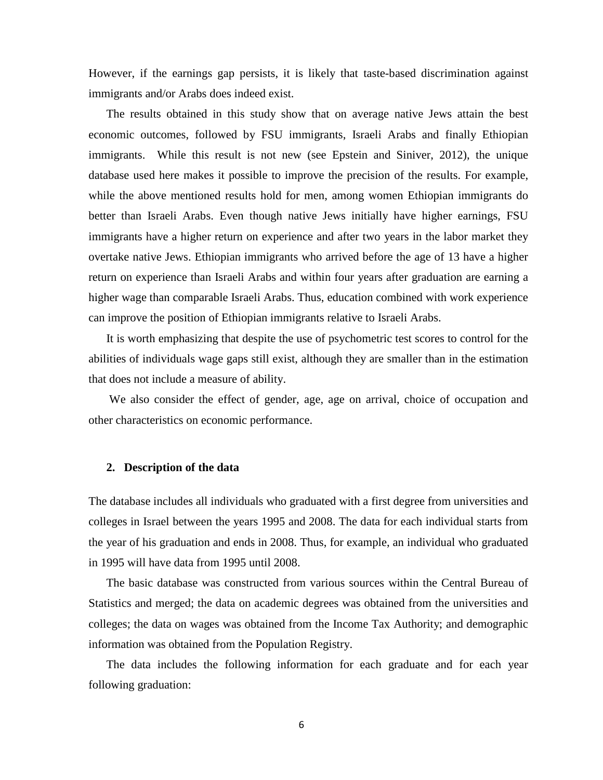However, if the earnings gap persists, it is likely that taste-based discrimination against immigrants and/or Arabs does indeed exist.

The results obtained in this study show that on average native Jews attain the best economic outcomes, followed by FSU immigrants, Israeli Arabs and finally Ethiopian immigrants. While this result is not new (see Epstein and Siniver, 2012), the unique database used here makes it possible to improve the precision of the results. For example, while the above mentioned results hold for men, among women Ethiopian immigrants do better than Israeli Arabs. Even though native Jews initially have higher earnings, FSU immigrants have a higher return on experience and after two years in the labor market they overtake native Jews. Ethiopian immigrants who arrived before the age of 13 have a higher return on experience than Israeli Arabs and within four years after graduation are earning a higher wage than comparable Israeli Arabs. Thus, education combined with work experience can improve the position of Ethiopian immigrants relative to Israeli Arabs.

It is worth emphasizing that despite the use of psychometric test scores to control for the abilities of individuals wage gaps still exist, although they are smaller than in the estimation that does not include a measure of ability.

We also consider the effect of gender, age, age on arrival, choice of occupation and other characteristics on economic performance.

#### **2. Description of the data**

The database includes all individuals who graduated with a first degree from universities and colleges in Israel between the years 1995 and 2008. The data for each individual starts from the year of his graduation and ends in 2008. Thus, for example, an individual who graduated in 1995 will have data from 1995 until 2008.

The basic database was constructed from various sources within the Central Bureau of Statistics and merged; the data on academic degrees was obtained from the universities and colleges; the data on wages was obtained from the Income Tax Authority; and demographic information was obtained from the Population Registry.

The data includes the following information for each graduate and for each year following graduation: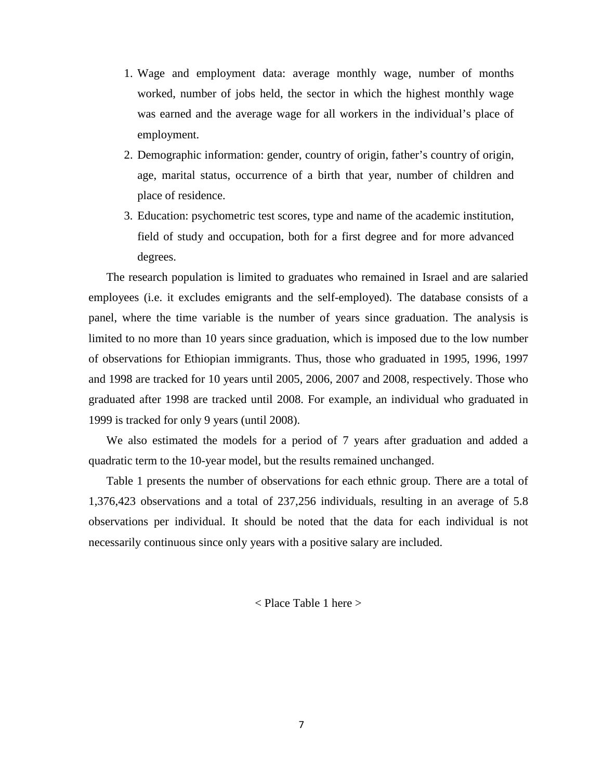- 1. Wage and employment data: average monthly wage, number of months worked, number of jobs held, the sector in which the highest monthly wage was earned and the average wage for all workers in the individual's place of employment.
- 2. Demographic information: gender, country of origin, father's country of origin, age, marital status, occurrence of a birth that year, number of children and place of residence.
- 3. Education: psychometric test scores, type and name of the academic institution, field of study and occupation, both for a first degree and for more advanced degrees.

The research population is limited to graduates who remained in Israel and are salaried employees (i.e. it excludes emigrants and the self-employed). The database consists of a panel, where the time variable is the number of years since graduation. The analysis is limited to no more than 10 years since graduation, which is imposed due to the low number of observations for Ethiopian immigrants. Thus, those who graduated in 1995, 1996, 1997 and 1998 are tracked for 10 years until 2005, 2006, 2007 and 2008, respectively. Those who graduated after 1998 are tracked until 2008. For example, an individual who graduated in 1999 is tracked for only 9 years (until 2008).

We also estimated the models for a period of 7 years after graduation and added a quadratic term to the 10-year model, but the results remained unchanged.

Table 1 presents the number of observations for each ethnic group. There are a total of 1,376,423 observations and a total of 237,256 individuals, resulting in an average of 5.8 observations per individual. It should be noted that the data for each individual is not necessarily continuous since only years with a positive salary are included.

< Place Table 1 here >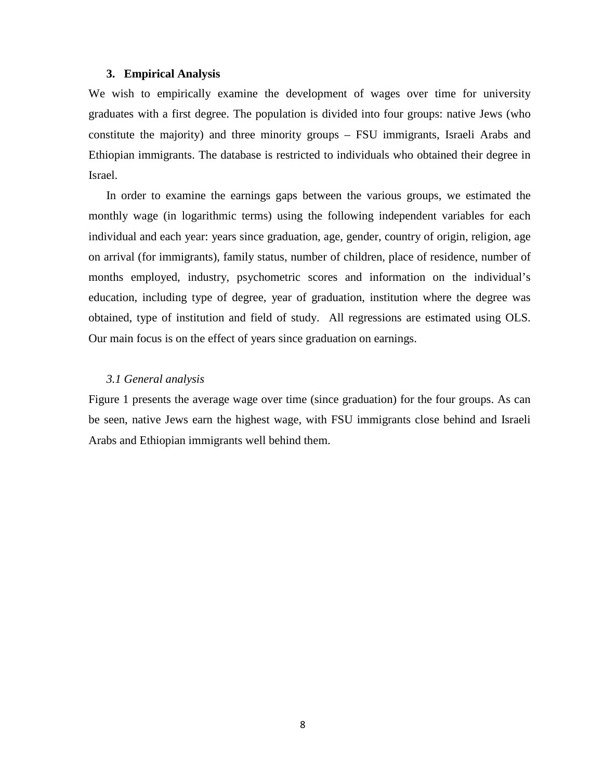#### **3. Empirical Analysis**

We wish to empirically examine the development of wages over time for university graduates with a first degree. The population is divided into four groups: native Jews (who constitute the majority) and three minority groups – FSU immigrants, Israeli Arabs and Ethiopian immigrants. The database is restricted to individuals who obtained their degree in Israel.

In order to examine the earnings gaps between the various groups, we estimated the monthly wage (in logarithmic terms) using the following independent variables for each individual and each year: years since graduation, age, gender, country of origin, religion, age on arrival (for immigrants), family status, number of children, place of residence, number of months employed, industry, psychometric scores and information on the individual's education, including type of degree, year of graduation, institution where the degree was obtained, type of institution and field of study. All regressions are estimated using OLS. Our main focus is on the effect of years since graduation on earnings.

#### *3.1 General analysis*

Figure 1 presents the average wage over time (since graduation) for the four groups. As can be seen, native Jews earn the highest wage, with FSU immigrants close behind and Israeli Arabs and Ethiopian immigrants well behind them.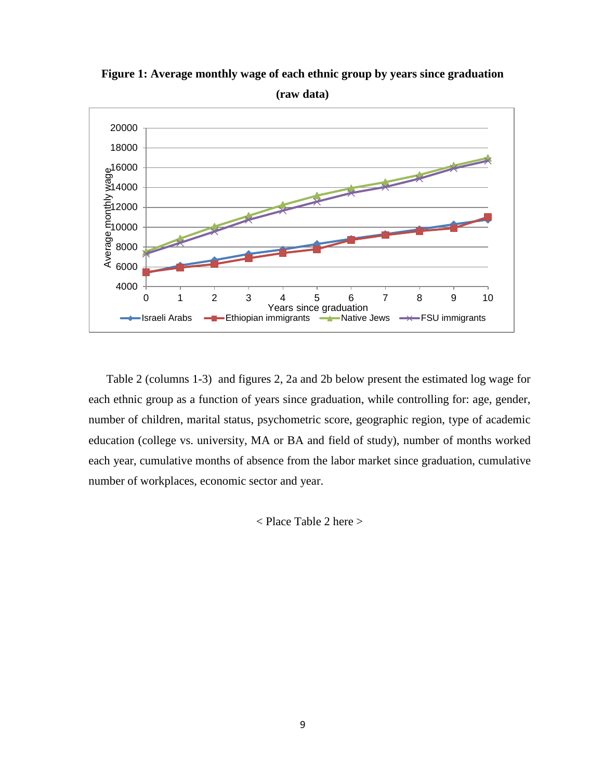

**Figure 1: Average monthly wage of each ethnic group by years since graduation (raw data)**

Table 2 (columns 1-3) and figures 2, 2a and 2b below present the estimated log wage for each ethnic group as a function of years since graduation, while controlling for: age, gender, number of children, marital status, psychometric score, geographic region, type of academic education (college vs. university, MA or BA and field of study), number of months worked each year, cumulative months of absence from the labor market since graduation, cumulative number of workplaces, economic sector and year.

< Place Table 2 here >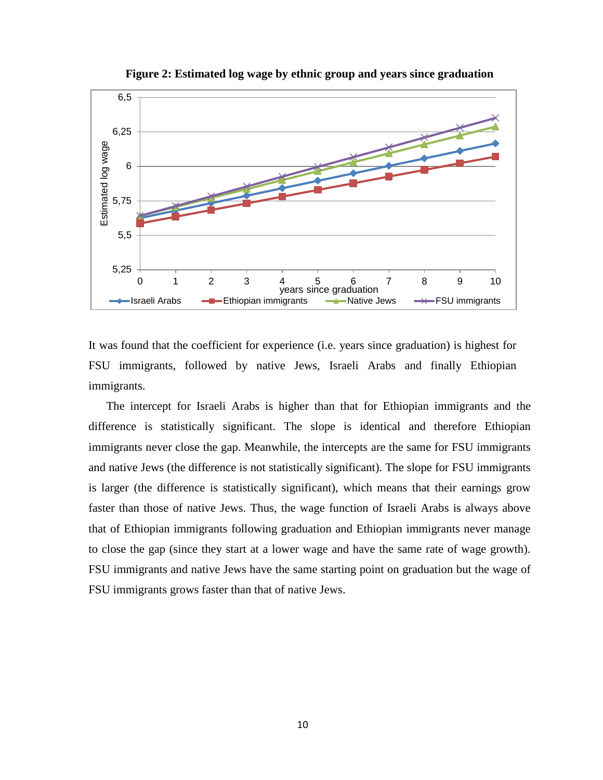

**Figure 2: Estimated log wage by ethnic group and years since graduation**

It was found that the coefficient for experience (i.e. years since graduation) is highest for FSU immigrants, followed by native Jews, Israeli Arabs and finally Ethiopian immigrants.

The intercept for Israeli Arabs is higher than that for Ethiopian immigrants and the difference is statistically significant. The slope is identical and therefore Ethiopian immigrants never close the gap. Meanwhile, the intercepts are the same for FSU immigrants and native Jews (the difference is not statistically significant). The slope for FSU immigrants is larger (the difference is statistically significant), which means that their earnings grow faster than those of native Jews. Thus, the wage function of Israeli Arabs is always above that of Ethiopian immigrants following graduation and Ethiopian immigrants never manage to close the gap (since they start at a lower wage and have the same rate of wage growth). FSU immigrants and native Jews have the same starting point on graduation but the wage of FSU immigrants grows faster than that of native Jews.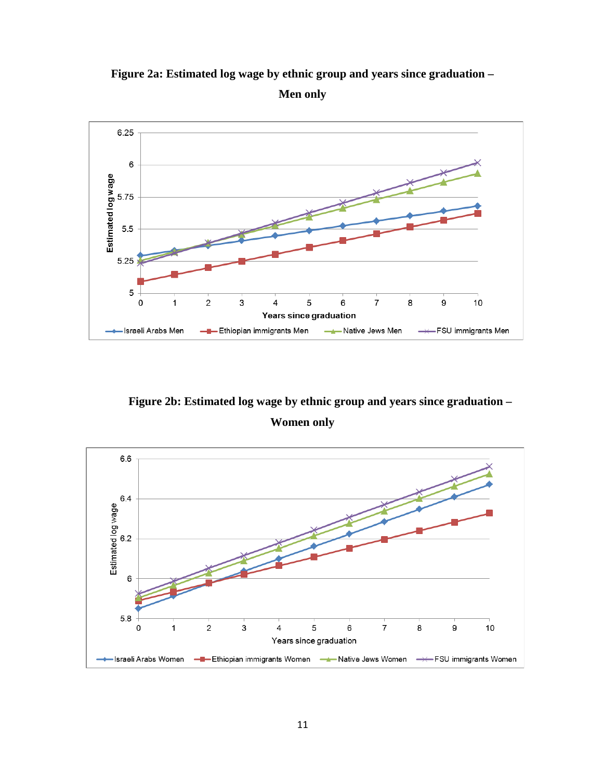

**Figure 2a: Estimated log wage by ethnic group and years since graduation – Men only**

**Figure 2b: Estimated log wage by ethnic group and years since graduation – Women only**

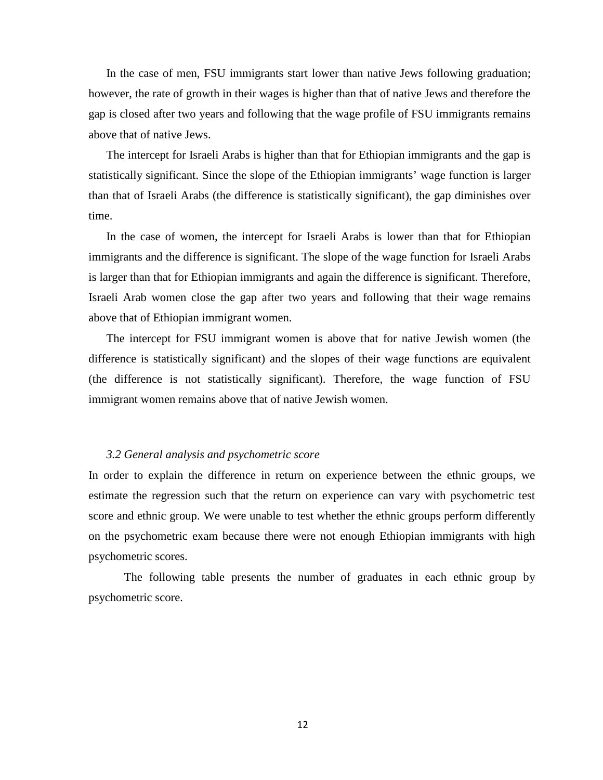In the case of men, FSU immigrants start lower than native Jews following graduation; however, the rate of growth in their wages is higher than that of native Jews and therefore the gap is closed after two years and following that the wage profile of FSU immigrants remains above that of native Jews.

The intercept for Israeli Arabs is higher than that for Ethiopian immigrants and the gap is statistically significant. Since the slope of the Ethiopian immigrants' wage function is larger than that of Israeli Arabs (the difference is statistically significant), the gap diminishes over time.

In the case of women, the intercept for Israeli Arabs is lower than that for Ethiopian immigrants and the difference is significant. The slope of the wage function for Israeli Arabs is larger than that for Ethiopian immigrants and again the difference is significant. Therefore, Israeli Arab women close the gap after two years and following that their wage remains above that of Ethiopian immigrant women.

The intercept for FSU immigrant women is above that for native Jewish women (the difference is statistically significant) and the slopes of their wage functions are equivalent (the difference is not statistically significant). Therefore, the wage function of FSU immigrant women remains above that of native Jewish women.

#### *3.2 General analysis and psychometric score*

In order to explain the difference in return on experience between the ethnic groups, we estimate the regression such that the return on experience can vary with psychometric test score and ethnic group. We were unable to test whether the ethnic groups perform differently on the psychometric exam because there were not enough Ethiopian immigrants with high psychometric scores.

The following table presents the number of graduates in each ethnic group by psychometric score.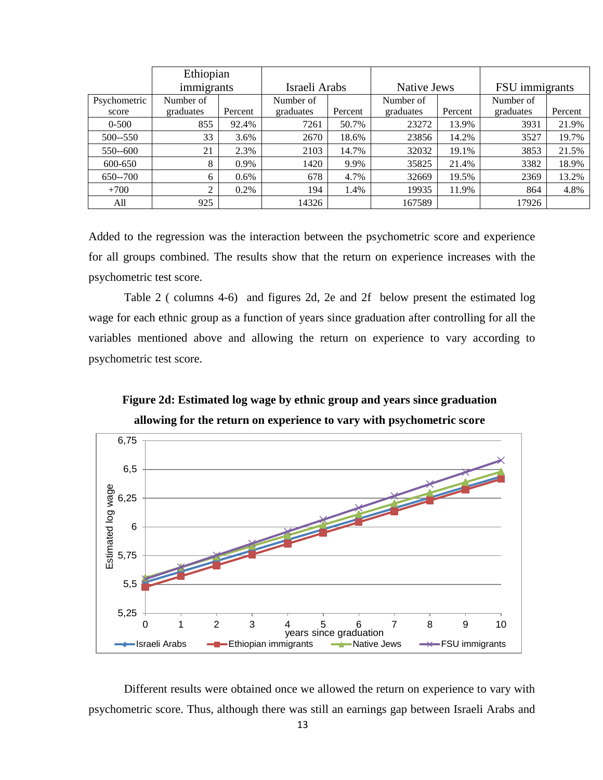|              | Ethiopian  |         |               |         |             |         |                |         |  |
|--------------|------------|---------|---------------|---------|-------------|---------|----------------|---------|--|
|              | immigrants |         | Israeli Arabs |         | Native Jews |         | FSU immigrants |         |  |
| Psychometric | Number of  |         | Number of     |         | Number of   |         |                |         |  |
| score        | graduates  | Percent | graduates     | Percent | graduates   | Percent | graduates      | Percent |  |
| $0 - 500$    | 855        | 92.4%   | 7261          | 50.7%   | 23272       | 13.9%   | 3931           | 21.9%   |  |
| $500 - 550$  | 33         | 3.6%    | 2670          | 18.6%   | 23856       | 14.2%   | 3527           | 19.7%   |  |
| 550--600     | 21         | 2.3%    | 2103          | 14.7%   | 32032       | 19.1%   | 3853           | 21.5%   |  |
| 600-650      | 8          | 0.9%    | 1420          | 9.9%    | 35825       | 21.4%   | 3382           | 18.9%   |  |
| 650--700     | 6          | $0.6\%$ | 678           | 4.7%    | 32669       | 19.5%   | 2369           | 13.2%   |  |
| $+700$       | 2          | $0.2\%$ | 194           | 1.4%    | 19935       | 11.9%   | 864            | 4.8%    |  |
| All          | 925        |         | 14326         |         | 167589      |         | 17926          |         |  |

Added to the regression was the interaction between the psychometric score and experience for all groups combined. The results show that the return on experience increases with the psychometric test score.

Table 2 ( columns 4-6) and figures 2d, 2e and 2f below present the estimated log wage for each ethnic group as a function of years since graduation after controlling for all the variables mentioned above and allowing the return on experience to vary according to psychometric test score.



**Figure 2d: Estimated log wage by ethnic group and years since graduation allowing for the return on experience to vary with psychometric score**

Different results were obtained once we allowed the return on experience to vary with psychometric score. Thus, although there was still an earnings gap between Israeli Arabs and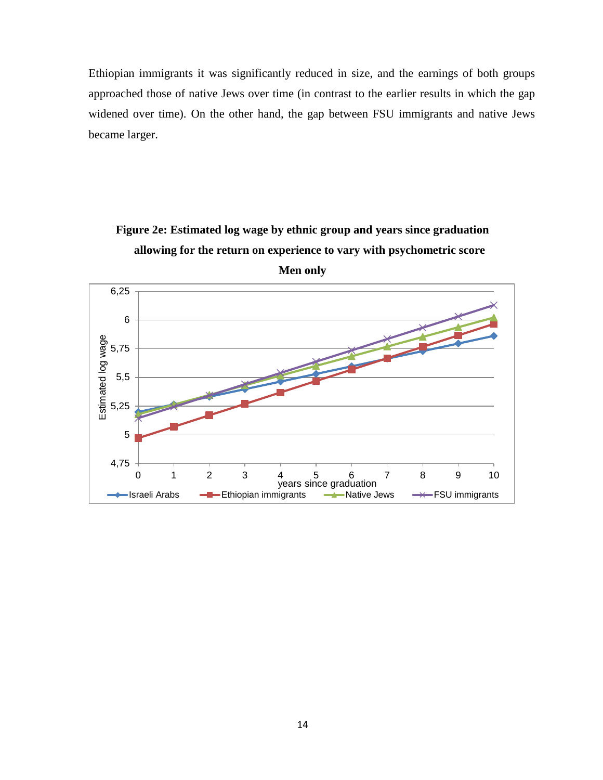Ethiopian immigrants it was significantly reduced in size, and the earnings of both groups approached those of native Jews over time (in contrast to the earlier results in which the gap widened over time). On the other hand, the gap between FSU immigrants and native Jews became larger.





**Men only**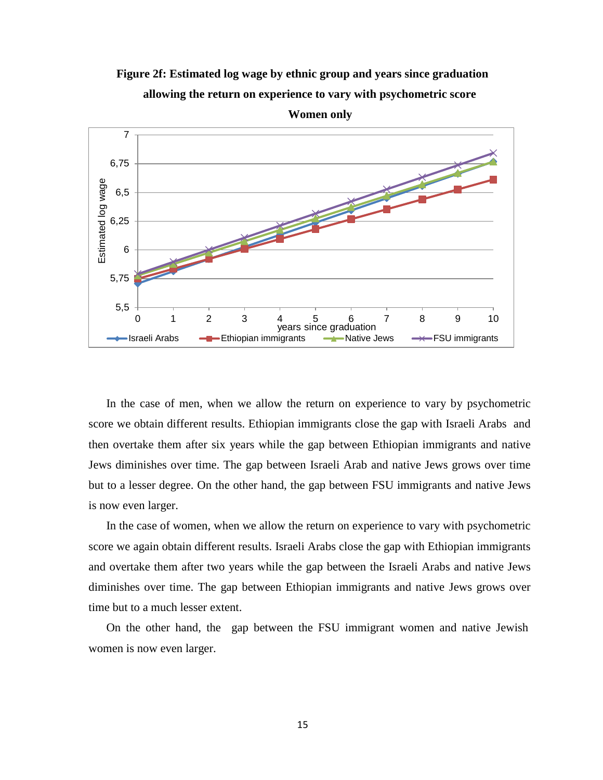

**Figure 2f: Estimated log wage by ethnic group and years since graduation allowing the return on experience to vary with psychometric score** 

In the case of men, when we allow the return on experience to vary by psychometric score we obtain different results. Ethiopian immigrants close the gap with Israeli Arabs and then overtake them after six years while the gap between Ethiopian immigrants and native Jews diminishes over time. The gap between Israeli Arab and native Jews grows over time but to a lesser degree. On the other hand, the gap between FSU immigrants and native Jews is now even larger.

In the case of women, when we allow the return on experience to vary with psychometric score we again obtain different results. Israeli Arabs close the gap with Ethiopian immigrants and overtake them after two years while the gap between the Israeli Arabs and native Jews diminishes over time. The gap between Ethiopian immigrants and native Jews grows over time but to a much lesser extent.

On the other hand, the gap between the FSU immigrant women and native Jewish women is now even larger.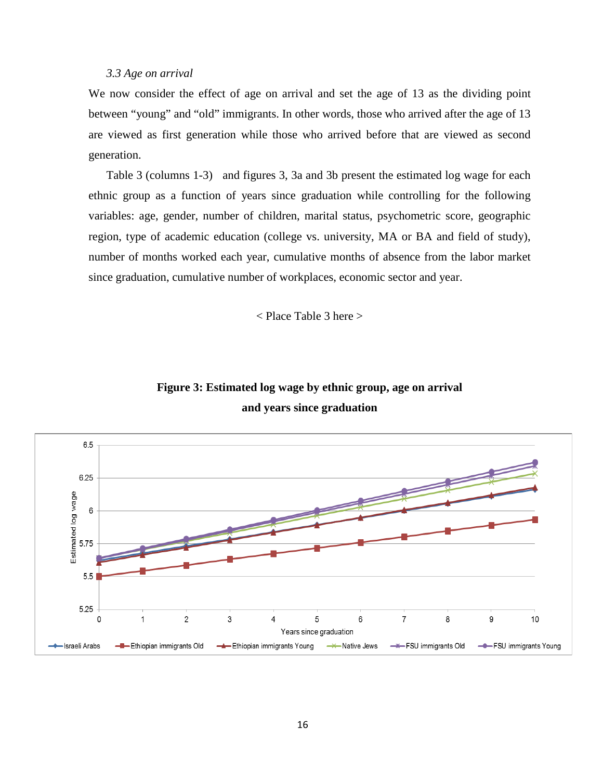#### *3.3 Age on arrival*

We now consider the effect of age on arrival and set the age of 13 as the dividing point between "young" and "old" immigrants. In other words, those who arrived after the age of 13 are viewed as first generation while those who arrived before that are viewed as second generation.

Table 3 (columns 1-3) and figures 3, 3a and 3b present the estimated log wage for each ethnic group as a function of years since graduation while controlling for the following variables: age, gender, number of children, marital status, psychometric score, geographic region, type of academic education (college vs. university, MA or BA and field of study), number of months worked each year, cumulative months of absence from the labor market since graduation, cumulative number of workplaces, economic sector and year.

< Place Table 3 here >



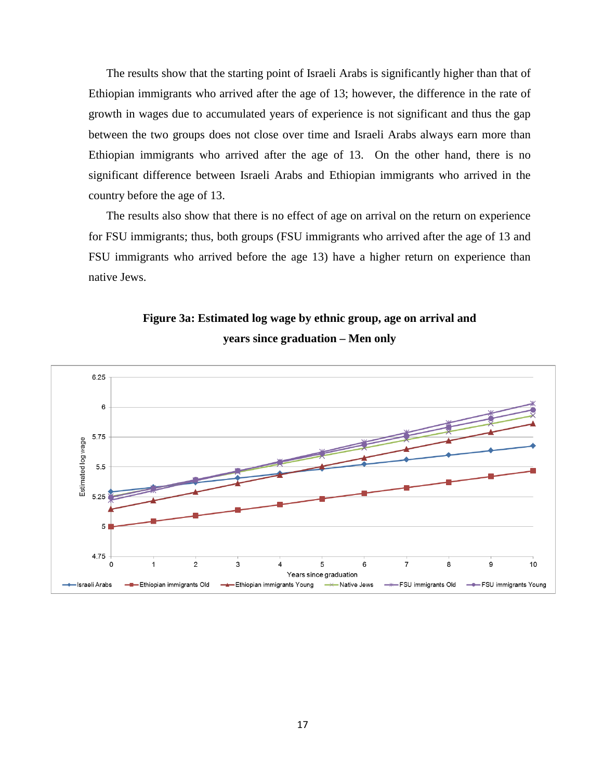The results show that the starting point of Israeli Arabs is significantly higher than that of Ethiopian immigrants who arrived after the age of 13; however, the difference in the rate of growth in wages due to accumulated years of experience is not significant and thus the gap between the two groups does not close over time and Israeli Arabs always earn more than Ethiopian immigrants who arrived after the age of 13. On the other hand, there is no significant difference between Israeli Arabs and Ethiopian immigrants who arrived in the country before the age of 13.

The results also show that there is no effect of age on arrival on the return on experience for FSU immigrants; thus, both groups (FSU immigrants who arrived after the age of 13 and FSU immigrants who arrived before the age 13) have a higher return on experience than native Jews.



**Figure 3a: Estimated log wage by ethnic group, age on arrival and years since graduation – Men only**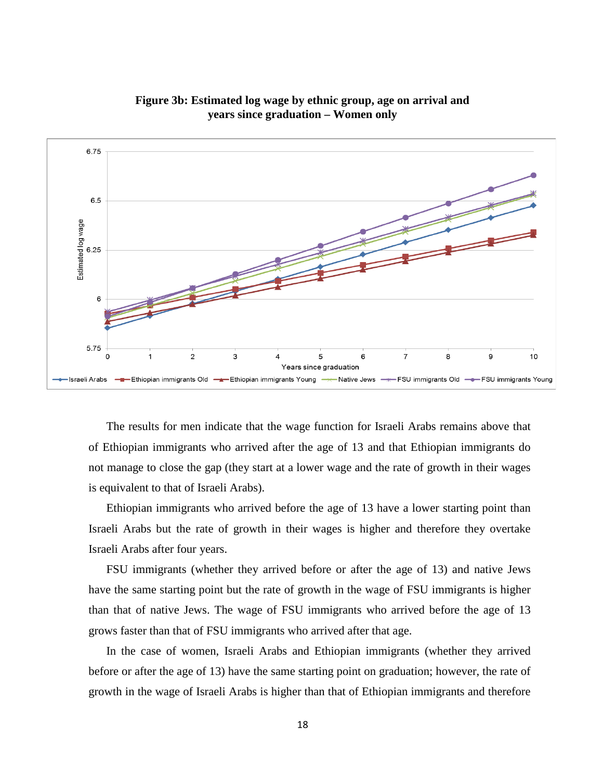

**Figure 3b: Estimated log wage by ethnic group, age on arrival and years since graduation – Women only**

The results for men indicate that the wage function for Israeli Arabs remains above that of Ethiopian immigrants who arrived after the age of 13 and that Ethiopian immigrants do not manage to close the gap (they start at a lower wage and the rate of growth in their wages is equivalent to that of Israeli Arabs).

Ethiopian immigrants who arrived before the age of 13 have a lower starting point than Israeli Arabs but the rate of growth in their wages is higher and therefore they overtake Israeli Arabs after four years.

FSU immigrants (whether they arrived before or after the age of 13) and native Jews have the same starting point but the rate of growth in the wage of FSU immigrants is higher than that of native Jews. The wage of FSU immigrants who arrived before the age of 13 grows faster than that of FSU immigrants who arrived after that age.

In the case of women, Israeli Arabs and Ethiopian immigrants (whether they arrived before or after the age of 13) have the same starting point on graduation; however, the rate of growth in the wage of Israeli Arabs is higher than that of Ethiopian immigrants and therefore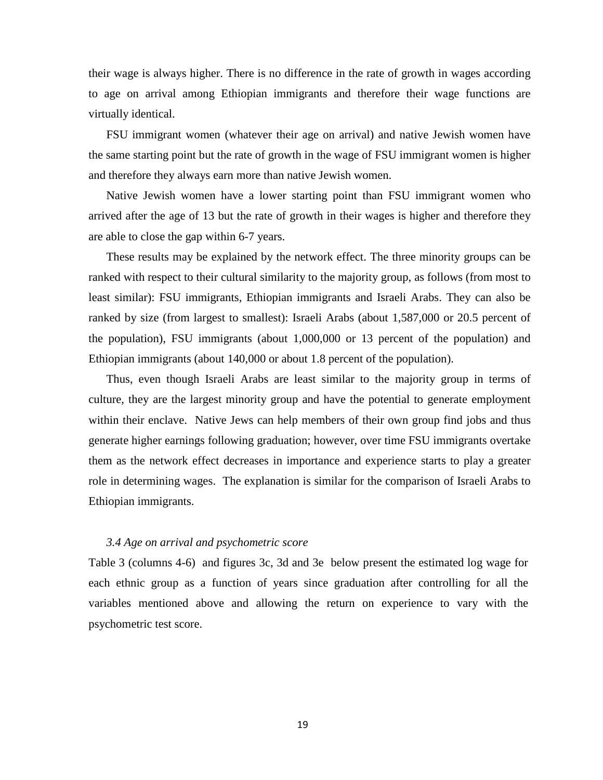their wage is always higher. There is no difference in the rate of growth in wages according to age on arrival among Ethiopian immigrants and therefore their wage functions are virtually identical.

FSU immigrant women (whatever their age on arrival) and native Jewish women have the same starting point but the rate of growth in the wage of FSU immigrant women is higher and therefore they always earn more than native Jewish women.

Native Jewish women have a lower starting point than FSU immigrant women who arrived after the age of 13 but the rate of growth in their wages is higher and therefore they are able to close the gap within 6-7 years.

These results may be explained by the network effect. The three minority groups can be ranked with respect to their cultural similarity to the majority group, as follows (from most to least similar): FSU immigrants, Ethiopian immigrants and Israeli Arabs. They can also be ranked by size (from largest to smallest): Israeli Arabs (about 1,587,000 or 20.5 percent of the population), FSU immigrants (about 1,000,000 or 13 percent of the population) and Ethiopian immigrants (about 140,000 or about 1.8 percent of the population).

Thus, even though Israeli Arabs are least similar to the majority group in terms of culture, they are the largest minority group and have the potential to generate employment within their enclave. Native Jews can help members of their own group find jobs and thus generate higher earnings following graduation; however, over time FSU immigrants overtake them as the network effect decreases in importance and experience starts to play a greater role in determining wages. The explanation is similar for the comparison of Israeli Arabs to Ethiopian immigrants.

#### *3.4 Age on arrival and psychometric score*

Table 3 (columns 4-6) and figures 3c, 3d and 3e below present the estimated log wage for each ethnic group as a function of years since graduation after controlling for all the variables mentioned above and allowing the return on experience to vary with the psychometric test score.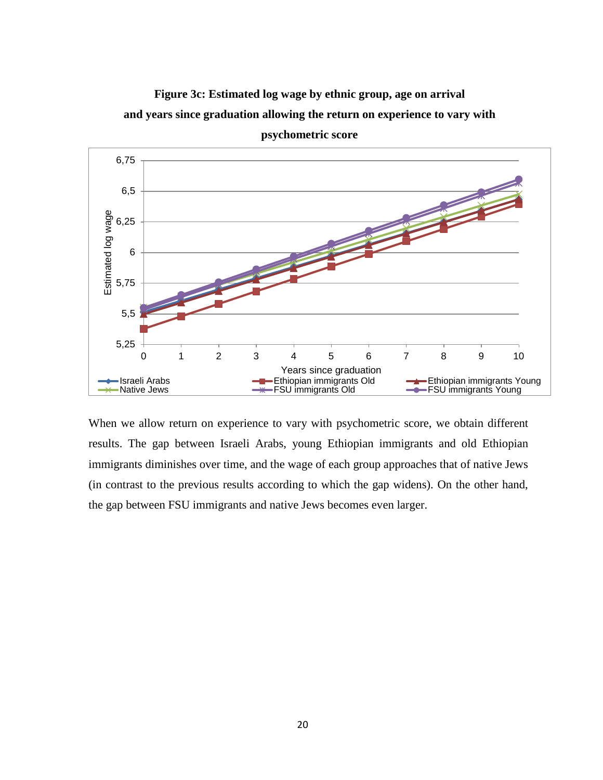**Figure 3c: Estimated log wage by ethnic group, age on arrival and years since graduation allowing the return on experience to vary with**



**psychometric score**

When we allow return on experience to vary with psychometric score, we obtain different results. The gap between Israeli Arabs, young Ethiopian immigrants and old Ethiopian immigrants diminishes over time, and the wage of each group approaches that of native Jews (in contrast to the previous results according to which the gap widens). On the other hand, the gap between FSU immigrants and native Jews becomes even larger.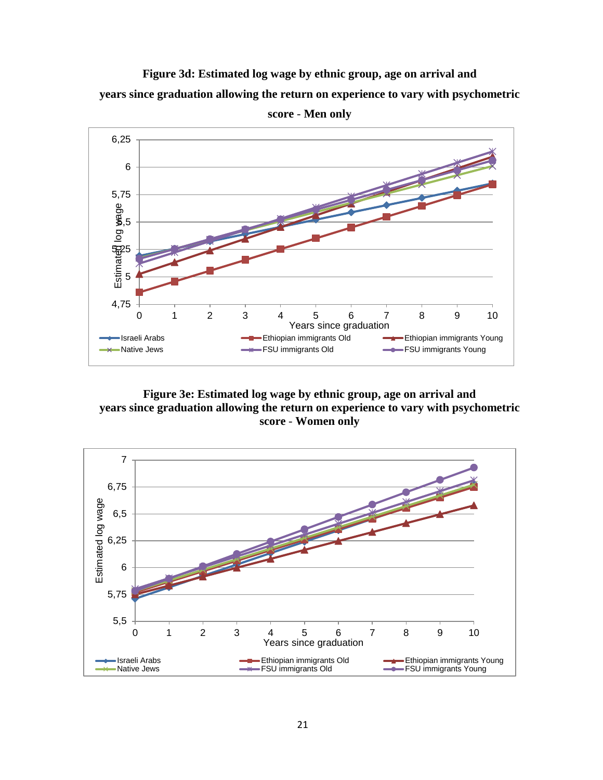**Figure 3d: Estimated log wage by ethnic group, age on arrival and years since graduation allowing the return on experience to vary with psychometric** 



**score** - **Men only**

**Figure 3e: Estimated log wage by ethnic group, age on arrival and years since graduation allowing the return on experience to vary with psychometric score** - **Women only**

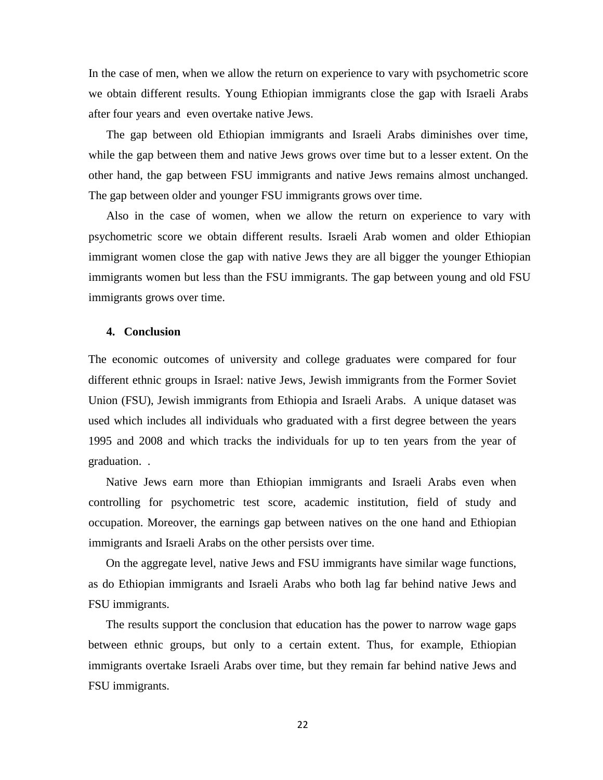In the case of men, when we allow the return on experience to vary with psychometric score we obtain different results. Young Ethiopian immigrants close the gap with Israeli Arabs after four years and even overtake native Jews.

The gap between old Ethiopian immigrants and Israeli Arabs diminishes over time, while the gap between them and native Jews grows over time but to a lesser extent. On the other hand, the gap between FSU immigrants and native Jews remains almost unchanged. The gap between older and younger FSU immigrants grows over time.

Also in the case of women, when we allow the return on experience to vary with psychometric score we obtain different results. Israeli Arab women and older Ethiopian immigrant women close the gap with native Jews they are all bigger the younger Ethiopian immigrants women but less than the FSU immigrants. The gap between young and old FSU immigrants grows over time.

#### **4. Conclusion**

The economic outcomes of university and college graduates were compared for four different ethnic groups in Israel: native Jews, Jewish immigrants from the Former Soviet Union (FSU), Jewish immigrants from Ethiopia and Israeli Arabs. A unique dataset was used which includes all individuals who graduated with a first degree between the years 1995 and 2008 and which tracks the individuals for up to ten years from the year of graduation. .

Native Jews earn more than Ethiopian immigrants and Israeli Arabs even when controlling for psychometric test score, academic institution, field of study and occupation. Moreover, the earnings gap between natives on the one hand and Ethiopian immigrants and Israeli Arabs on the other persists over time.

On the aggregate level, native Jews and FSU immigrants have similar wage functions, as do Ethiopian immigrants and Israeli Arabs who both lag far behind native Jews and FSU immigrants.

The results support the conclusion that education has the power to narrow wage gaps between ethnic groups, but only to a certain extent. Thus, for example, Ethiopian immigrants overtake Israeli Arabs over time, but they remain far behind native Jews and FSU immigrants.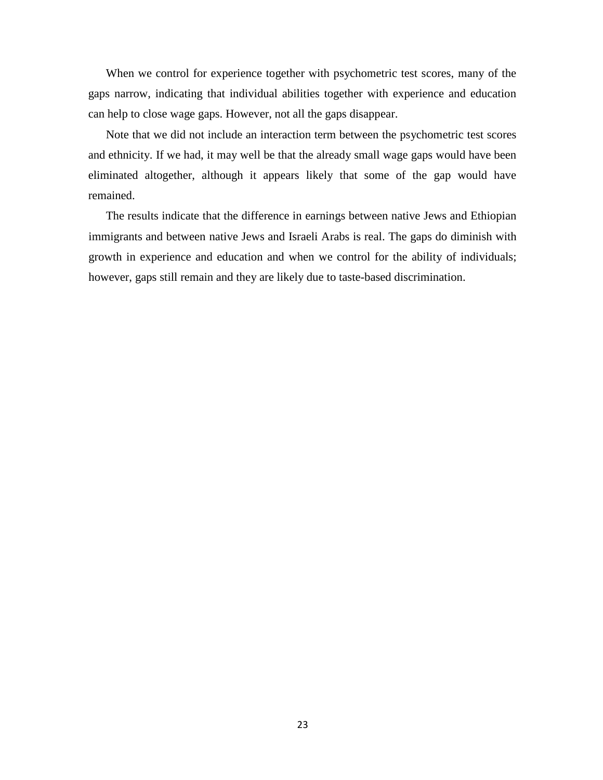When we control for experience together with psychometric test scores, many of the gaps narrow, indicating that individual abilities together with experience and education can help to close wage gaps. However, not all the gaps disappear.

Note that we did not include an interaction term between the psychometric test scores and ethnicity. If we had, it may well be that the already small wage gaps would have been eliminated altogether, although it appears likely that some of the gap would have remained.

The results indicate that the difference in earnings between native Jews and Ethiopian immigrants and between native Jews and Israeli Arabs is real. The gaps do diminish with growth in experience and education and when we control for the ability of individuals; however, gaps still remain and they are likely due to taste-based discrimination.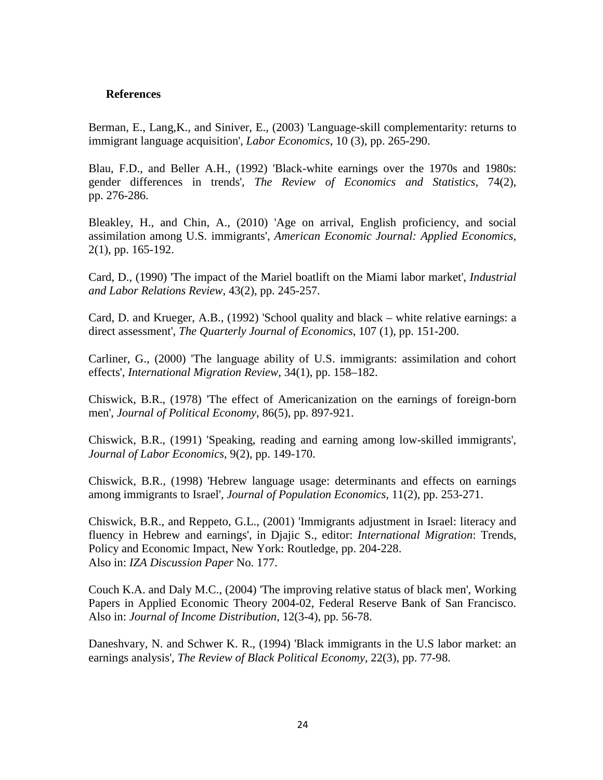#### **References**

Berman, E., Lang,K., and Siniver, E., (2003) 'Language-skill complementarity: returns to immigrant language acquisition', *Labor Economics*, 10 (3), pp. 265-290.

Blau, F.D., and Beller A.H., (1992) 'Black-white earnings over the 1970s and 1980s: gender differences in trends', *The Review of Economics and Statistics*, 74(2), pp. 276-286.

[Bleakley,](http://www.ncbi.nlm.nih.gov/pubmed/?term=Bleakley%20H%5Bauth%5D) H., and Chin, A., (2010) 'Age on arrival, English proficiency, and social assimilation among U.S. immigrants', *American Economic Journal: Applied Economics*, 2(1), pp. 165-192.

Card, D., (1990) 'The impact of the Mariel boatlift on the Miami labor market', *Industrial and Labor Relations Review*, 43(2), pp. 245-257.

Card, D. and Krueger, A.B., (1992) 'School quality and black – white relative earnings: a direct assessment', *The Quarterly Journal of Economics*, 107 (1), pp. 151-200.

Carliner, G., (2000) 'The language ability of U.S. immigrants: assimilation and cohort effects', *International Migration Review*, 34(1), pp. 158–182.

Chiswick, B.R., (1978) 'The effect of Americanization on the earnings of foreign-born men', *Journal of Political Economy*, 86(5), pp. 897-921.

Chiswick, B.R., (1991) 'Speaking, reading and earning among low-skilled immigrants', *Journal of Labor Economics*, 9(2), pp. 149-170.

Chiswick, B.R., (1998) 'Hebrew language usage: determinants and effects on earnings among immigrants to Israel', *Journal of Population Economics*, 11(2), pp. 253-271.

Chiswick, B.R., and Reppeto, G.L., (2001) 'Immigrants adjustment in Israel: literacy and fluency in Hebrew and earnings', in Djajic S., editor: *International Migration*: Trends, Policy and Economic Impact, New York: Routledge, pp. 204-228. Also in: *[IZA Discussion Paper](javascript:WinOpen(263776);)* No. 177.

Couch K.A. and Daly M.C., (2004) 'The improving relative status of black men', [Working](http://ideas.repec.org/s/fip/fedfap.html)  [Papers in Applied Economic Theory](http://ideas.repec.org/s/fip/fedfap.html) 2004-02, Federal Reserve Bank of San Francisco. Also in: *Journal of Income Distribution*, 12(3-4), pp. 56-78.

Daneshvary, N. and [Schwer](http://www.springerlink.com/content/?Author=R.+Keith+Schwer) K. R., (1994) 'Black immigrants in the U.S labor market: an earnings analysis', *The Review of Black Political Economy*, 22(3), pp. 77-98.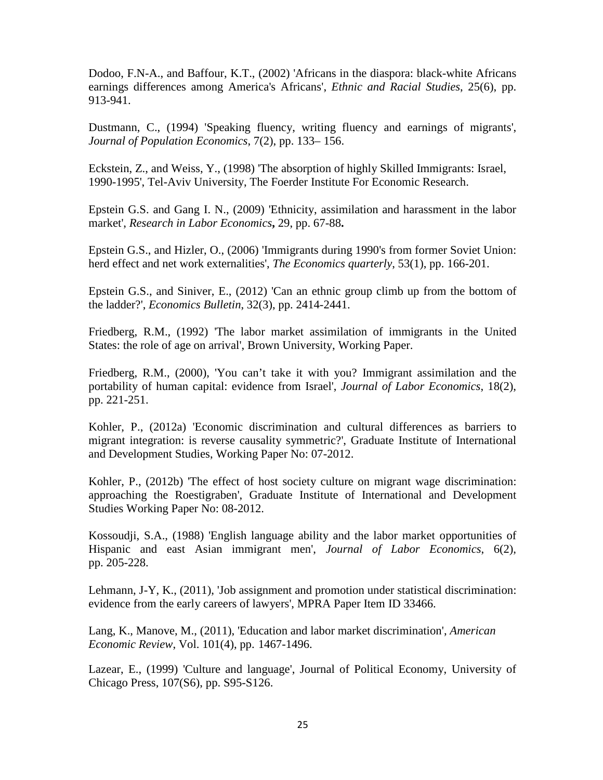Dodoo, F.N-A., and Baffour, K.T., (2002) 'Africans in the diaspora: black-white Africans earnings differences among America's Africans', *Ethnic and Racial Studies*, 25(6), pp. 913-941.

Dustmann, C., (1994) 'Speaking fluency, writing fluency and earnings of migrants', *Journal of Population Economics*, 7(2), pp. 133– 156.

Eckstein, Z., and Weiss, Y., (1998) 'The absorption of highly Skilled Immigrants: Israel, 1990-1995', Tel-Aviv University, The Foerder Institute For Economic Research.

Epstein G.S. and Gang I. N., (2009) 'Ethnicity, assimilation and harassment in the labor market', *Research in Labor Economics***,** 29, pp. 67-88**.**

Epstein G.S., and Hizler, O., (2006) 'Immigrants during 1990's from former Soviet Union: herd effect and net work externalities', *The Economics quarterly*, 53(1), pp. 166-201.

Epstein G.S., and Siniver, E., (2012) 'Can an ethnic group climb up from the bottom of the ladder?', *Economics Bulletin*, 32(3), pp. 2414-2441.

Friedberg, R.M., (1992) 'The labor market assimilation of immigrants in the United States: the role of age on arrival', Brown University, Working Paper.

Friedberg, R.M., (2000), 'You can't take it with you? Immigrant assimilation and the portability of human capital: evidence from Israel', *Journal of Labor Economics*, 18(2), pp. 221-251.

Kohler, P., (2012a) 'Economic discrimination and cultural differences as barriers to migrant integration: is reverse causality symmetric?', Graduate Institute of International and Development Studies, Working Paper No: 07-2012.

Kohler, P., (2012b) 'The effect of host society culture on migrant wage discrimination: approaching the Roestigraben', Graduate Institute of International and Development Studies Working Paper No: 08-2012.

Kossoudji, S.A., (1988) 'English language ability and the labor market opportunities of Hispanic and east Asian immigrant men', *Journal of Labor Economics*, 6(2), pp. 205-228.

Lehmann, J-Y, K., (2011), 'Job assignment and promotion under statistical discrimination: evidence from the early careers of lawyers', MPRA Paper Item ID 33466.

Lang, K., Manove, M., (2011), 'Education and labor market discrimination', *American Economic Review*, Vol. 101(4), pp. 1467-1496.

Lazear, E., (1999) 'Culture and language', Journal of Political Economy, University of Chicago Press, 107(S6), pp. S95-S126.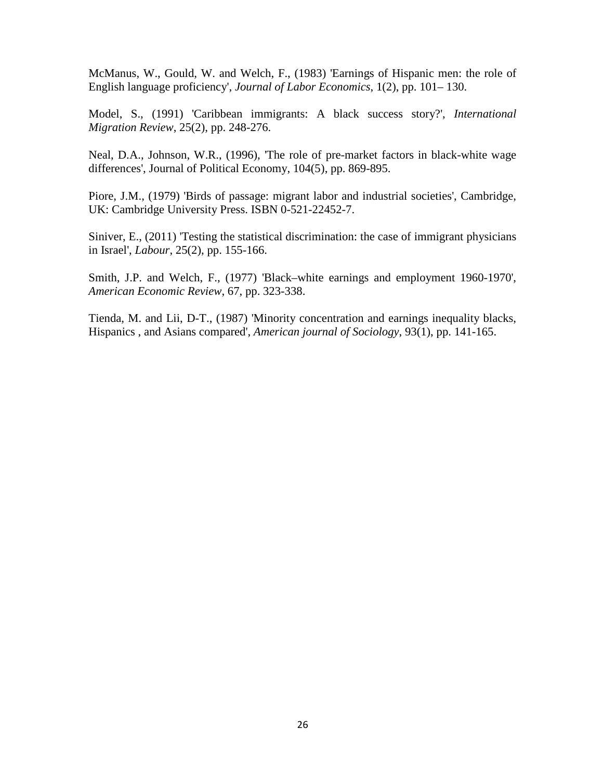McManus, W., Gould, W. and Welch, F., (1983) 'Earnings of Hispanic men: the role of English language proficiency', *Journal of Labor Economics*, 1(2), pp. 101– 130.

Model, S., (1991) 'Caribbean immigrants: A black success story?', *International Migration Review*, 25(2), pp. 248-276.

Neal, D.A., Johnson, W.R., (1996), 'The role of pre-market factors in black-white wage differences', Journal of Political Economy, 104(5), pp. 869-895.

Piore, J.M., (1979) 'Birds of passage: migrant labor and industrial societies', Cambridge, UK: Cambridge University Press. [ISBN](http://en.wikipedia.org/wiki/International_Standard_Book_Number) [0-521-22452-7.](http://en.wikipedia.org/wiki/Special:BookSources/0-521-22452-7)

Siniver, E., (2011) 'Testing the statistical discrimination: the case of immigrant physicians in Israel', *Labour*, 25(2), pp. 155-166.

Smith, J.P. and Welch, F., (1977) 'Black–white earnings and employment 1960-1970', *American Economic Review*, 67, pp. 323-338.

Tienda, M. and Lii, D-T., (1987) 'Minority concentration and earnings inequality blacks, Hispanics , and Asians compared', *American journal of Sociology*, 93(1), pp. 141-165.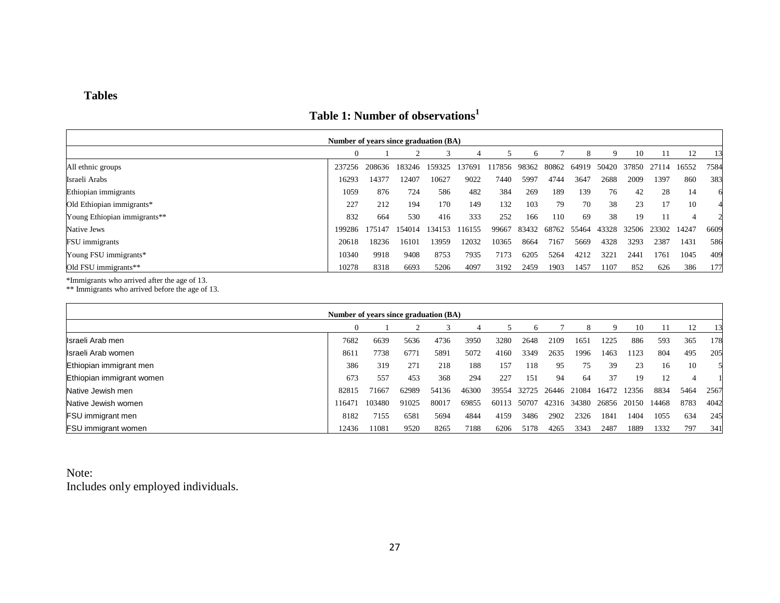#### **Tables**

# **Table 1: Number of observations<sup>1</sup>**

| Number of years since graduation (BA) |        |        |        |        |        |       |       |       |       |       |       |            |       |      |
|---------------------------------------|--------|--------|--------|--------|--------|-------|-------|-------|-------|-------|-------|------------|-------|------|
|                                       |        |        |        |        |        |       | h     |       | 8     | Q     | 10    | 11         | 12    | 13   |
| All ethnic groups                     | 237256 | 208636 | 183246 | 159325 | 137691 | 17856 | 98362 | 80862 | 64919 | 50420 | 37850 | 271<br>114 | 16552 | 7584 |
| Israeli Arabs                         | 16293  | 14377  | 12407  | 10627  | 9022   | 7440  | 5997  | 4744  | 3647  | 2688  | 2009  | 1397       | 860   | 383  |
| Ethiopian immigrants                  | 1059   | 876    | 724    | 586    | 482    | 384   | 269   | 189   | 139   | 76    | 42    | 28         | 14    |      |
| Old Ethiopian immigrants*             | 227    | 212    | 194    | 170    | 149    | 132   | 103   | 79    | 70    | 38    | 23    | 17         | 10    |      |
| Young Ethiopian immigrants**          | 832    | 664    | 530    | 416    | 333    | 252   | 166   | 110   | 69    | 38    | 19    | 11         | 4     |      |
| Native Jews                           | 199286 | 75147  | 154014 | 34153  | 116155 | 99667 | 83432 | 68762 | 55464 | 43328 | 32506 | 23302      | 14247 | 6609 |
| FSU immigrants                        | 20618  | 18236  | 16101  | 13959  | 12032  | 10365 | 8664  | 7167  | 5669  | 4328  | 3293  | 2387       | 1431  | 586  |
| Young FSU immigrants*                 | 10340  | 9918   | 9408   | 8753   | 7935   | 7173  | 6205  | 5264  | 4212  | 3221  | 2441  | 1761       | 1045  | 409  |
| Old FSU immigrants**                  | 10278  | 8318   | 6693   | 5206   | 4097   | 3192  | 2459  | 1903  | 1457  | 1107  | 852   | 626        | 386   | 177  |

\*Immigrants who arrived after the age of 13.

\*\* Immigrants who arrived before the age of 13.

| Number of years since graduation (BA) |        |        |       |       |       |       |       |       |       |       |       |       |      |      |
|---------------------------------------|--------|--------|-------|-------|-------|-------|-------|-------|-------|-------|-------|-------|------|------|
|                                       | 0      |        |       |       |       |       |       |       | я     |       | 10    |       | 12   | 13   |
| Israeli Arab men                      | 7682   | 6639   | 5636  | 4736  | 3950  | 3280  | 2648  | 2109  | 165   | 1225  | 886   | 593   | 365  | 178  |
| Israeli Arab women                    | 8611   | 7738   | 677   | 5891  | 5072  | 4160  | 3349  | 2635  | 1996  | 1463  | 1123  | 804   | 495  | 205  |
| Ethiopian immigrant men               | 386    | 319    | 271   | 218   | 188   | 157   | 18    | 95    | 75    | 39    | 23    | 16    | 10   | 5    |
| Ethiopian immigrant women             | 673    | 557    | 453   | 368   | 294   | 227   | 151   | 94    | 64    | 37    | 19    | 12    | 4    |      |
| Native Jewish men                     | 82815  | 71667  | 62989 | 54136 | 46300 | 39554 | 32725 | 26446 | 21084 | 16472 | 12356 | 8834  | 5464 | 2567 |
| Native Jewish women                   | 116471 | 103480 | 91025 | 80017 | 69855 | 60113 | 50707 | 42316 | 34380 | 26856 | 20150 | 14468 | 8783 | 4042 |
| <b>FSU</b> immigrant men              | 8182   | 7155   | 6581  | 5694  | 4844  | 4159  | 3486  | 2902  | 2326  | 1841  | 1404  | 1055  | 634  | 245  |
| <b>FSU</b> immigrant women            | 12436  | 11081  | 9520  | 8265  | 7188  | 6206  | 5178  | 4265  | 3343  | 2487  | 1889  | 1332  | 797  | 341  |

Note: Includes only employed individuals.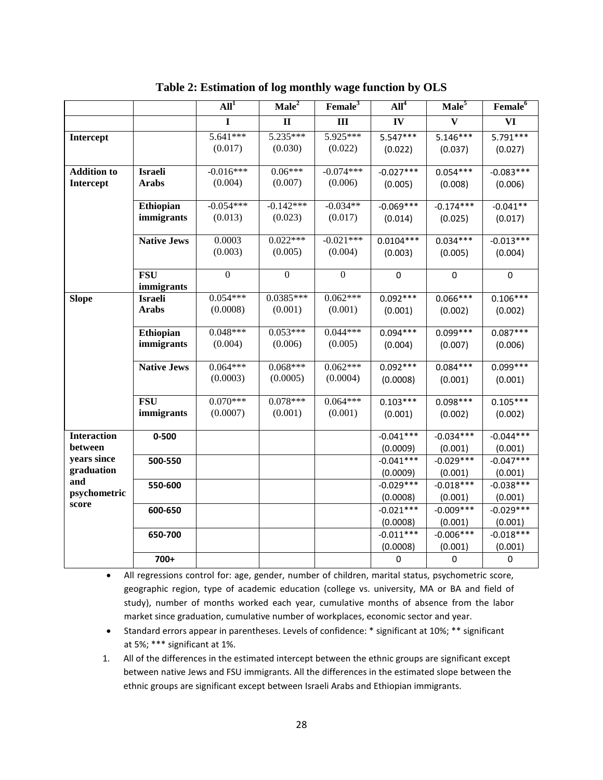|                       |                          | All <sup>1</sup> | $\overline{\text{Male}^2}$ | Female <sup>3</sup> | All <sup>4</sup>         | $\overline{\text{Male}^5}$ | Female <sup>6</sup>      |
|-----------------------|--------------------------|------------------|----------------------------|---------------------|--------------------------|----------------------------|--------------------------|
|                       |                          | $\mathbf{I}$     | $\mathbf{I}$               | $\overline{m}$      | $\overline{\mathbf{IV}}$ | $\overline{\mathbf{v}}$    | $\overline{\mathbf{VI}}$ |
| <b>Intercept</b>      |                          | 5.641***         | 5.235***                   | 5.925***            | 5.547***                 | $5.146***$                 | $5.791***$               |
|                       |                          | (0.017)          | (0.030)                    | (0.022)             | (0.022)                  | (0.037)                    | (0.027)                  |
| <b>Addition to</b>    | <b>Israeli</b>           | $-0.016***$      | $0.06***$                  | $-0.074***$         | $-0.027***$              | $0.054***$                 | $-0.083***$              |
| Intercept             | <b>Arabs</b>             | (0.004)          | (0.007)                    | (0.006)             | (0.005)                  | (0.008)                    | (0.006)                  |
|                       | Ethiopian                | $-0.054***$      | $-0.142***$                | $-0.034**$          | $-0.069***$              | $-0.174***$                | $-0.041**$               |
|                       | immigrants               | (0.013)          | (0.023)                    | (0.017)             | (0.014)                  | (0.025)                    | (0.017)                  |
|                       | <b>Native Jews</b>       | 0.0003           | $0.022***$                 | $-0.021***$         | $0.0104***$              | $0.034***$                 | $-0.013***$              |
|                       |                          | (0.003)          | (0.005)                    | (0.004)             | (0.003)                  | (0.005)                    | (0.004)                  |
|                       | <b>FSU</b><br>immigrants | $\overline{0}$   | $\overline{0}$             | $\boldsymbol{0}$    | $\pmb{0}$                | $\pmb{0}$                  | $\pmb{0}$                |
| <b>Slope</b>          | <b>Israeli</b>           | $0.054***$       | $0.0385***$                | $0.062***$          | $0.092***$               | $0.066***$                 | $0.106***$               |
|                       | <b>Arabs</b>             | (0.0008)         | (0.001)                    | (0.001)             | (0.001)                  | (0.002)                    | (0.002)                  |
|                       | Ethiopian                | $0.048***$       | $0.053***$                 | $0.044***$          | $0.094***$               | $0.099***$                 | $0.087***$               |
|                       | immigrants               | (0.004)          | (0.006)                    | (0.005)             | (0.004)                  | (0.007)                    | (0.006)                  |
|                       | <b>Native Jews</b>       | $0.064***$       | $0.068***$                 | $0.062***$          | $0.092***$               | $0.084***$                 | $0.099***$               |
|                       |                          | (0.0003)         | (0.0005)                   | (0.0004)            | (0.0008)                 | (0.001)                    | (0.001)                  |
|                       | <b>FSU</b>               | $0.070***$       | $0.078***$                 | $0.064***$          | $0.103***$               | $0.098***$                 | $0.105***$               |
|                       | immigrants               | (0.0007)         | (0.001)                    | (0.001)             | (0.001)                  | (0.002)                    | (0.002)                  |
| <b>Interaction</b>    | $0 - 500$                |                  |                            |                     | $-0.041***$              | $-0.034***$                | $-0.044***$              |
| between               |                          |                  |                            |                     | (0.0009)                 | (0.001)                    | (0.001)                  |
| years since           | 500-550                  |                  |                            |                     | $-0.041***$              | $-0.029***$                | $-0.047***$              |
| graduation            |                          |                  |                            |                     | (0.0009)                 | (0.001)                    | (0.001)                  |
| and                   | 550-600                  |                  |                            |                     | $-0.029***$              | $-0.018***$                | $-0.038***$              |
| psychometric<br>score |                          |                  |                            |                     | (0.0008)                 | (0.001)                    | (0.001)                  |
|                       | 600-650                  |                  |                            |                     | $-0.021***$              | $-0.009***$                | $-0.029***$              |
|                       |                          |                  |                            |                     | (0.0008)                 | (0.001)                    | (0.001)                  |
|                       | 650-700                  |                  |                            |                     | $-0.011***$              | $-0.006***$                | $-0.018***$              |
|                       |                          |                  |                            |                     | (0.0008)                 | (0.001)                    | (0.001)                  |
|                       | 700+                     |                  |                            |                     | $\boldsymbol{0}$         | $\pmb{0}$                  | 0                        |

**Table 2: Estimation of log monthly wage function by OLS**

• All regressions control for: age, gender, number of children, marital status, psychometric score, geographic region, type of academic education (college vs. university, MA or BA and field of study), number of months worked each year, cumulative months of absence from the labor market since graduation, cumulative number of workplaces, economic sector and year.

- Standard errors appear in parentheses. Levels of confidence: \* significant at 10%; \*\* significant at 5%; \*\*\* significant at 1%.
- 1. All of the differences in the estimated intercept between the ethnic groups are significant except between native Jews and FSU immigrants. All the differences in the estimated slope between the ethnic groups are significant except between Israeli Arabs and Ethiopian immigrants.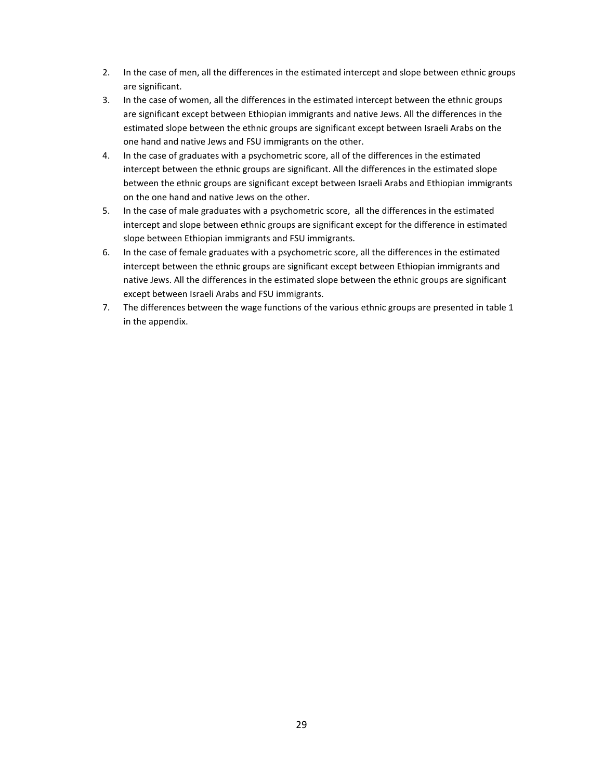- 2. In the case of men, all the differences in the estimated intercept and slope between ethnic groups are significant.
- 3. In the case of women, all the differences in the estimated intercept between the ethnic groups are significant except between Ethiopian immigrants and native Jews. All the differences in the estimated slope between the ethnic groups are significant except between Israeli Arabs on the one hand and native Jews and FSU immigrants on the other.
- 4. In the case of graduates with a psychometric score, all of the differences in the estimated intercept between the ethnic groups are significant. All the differences in the estimated slope between the ethnic groups are significant except between Israeli Arabs and Ethiopian immigrants on the one hand and native Jews on the other.
- 5. In the case of male graduates with a psychometric score, all the differences in the estimated intercept and slope between ethnic groups are significant except for the difference in estimated slope between Ethiopian immigrants and FSU immigrants.
- 6. In the case of female graduates with a psychometric score, all the differences in the estimated intercept between the ethnic groups are significant except between Ethiopian immigrants and native Jews. All the differences in the estimated slope between the ethnic groups are significant except between Israeli Arabs and FSU immigrants.
- 7. The differences between the wage functions of the various ethnic groups are presented in table 1 in the appendix.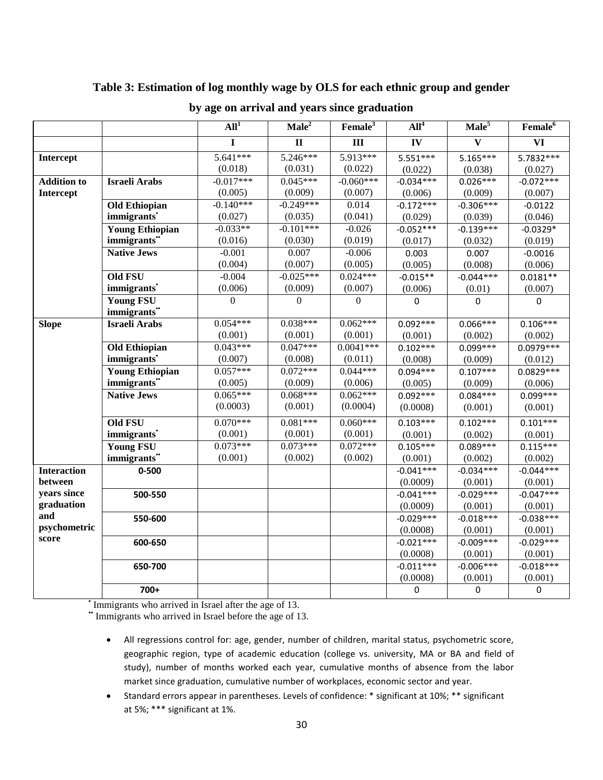|                    |                        | All <sup>1</sup> | $\mathbf{Male}^2$      | Female <sup>3</sup> | All <sup>4</sup> | $\textbf{Male}^5$       | Female <sup>6</sup> |
|--------------------|------------------------|------------------|------------------------|---------------------|------------------|-------------------------|---------------------|
|                    |                        | $\mathbf I$      | $\mathbf{I}\mathbf{I}$ | $\rm III$           | ${\bf IV}$       | $\overline{\mathbf{v}}$ | $\mathbf{VI}$       |
| Intercept          |                        | $5.641***$       | 5.246***               | 5.913***            | 5.551***         | 5.165***                | 5.7832***           |
|                    |                        | (0.018)          | (0.031)                | (0.022)             | (0.022)          | (0.038)                 | (0.027)             |
| <b>Addition to</b> | <b>Israeli Arabs</b>   | $-0.017***$      | $0.045***$             | $-0.060***$         | $-0.034***$      | $0.026***$              | $-0.072***$         |
| Intercept          |                        | (0.005)          | (0.009)                | (0.007)             | (0.006)          | (0.009)                 | (0.007)             |
|                    | <b>Old Ethiopian</b>   | $-0.140***$      | $-0.249***$            | 0.014               | $-0.172***$      | $-0.306***$             | $-0.0122$           |
|                    | immigrants'            | (0.027)          | (0.035)                | (0.041)             | (0.029)          | (0.039)                 | (0.046)             |
|                    | <b>Young Ethiopian</b> | $-0.033**$       | $-0.101***$            | $-0.026$            | $-0.052***$      | $-0.139***$             | $-0.0329*$          |
|                    | immigrants"            | (0.016)          | (0.030)                | (0.019)             | (0.017)          | (0.032)                 | (0.019)             |
|                    | <b>Native Jews</b>     | $-0.001$         | 0.007                  | $-0.006$            | 0.003            | 0.007                   | $-0.0016$           |
|                    |                        | (0.004)          | (0.007)                | (0.005)             | (0.005)          | (0.008)                 | (0.006)             |
|                    | <b>Old FSU</b>         | $-0.004$         | $-0.025***$            | $0.024***$          | $-0.015**$       | $-0.044***$             | $0.0181**$          |
|                    | immigrants'            | (0.006)          | (0.009)                | (0.007)             | (0.006)          | (0.01)                  | (0.007)             |
|                    | <b>Young FSU</b>       | $\overline{0}$   | $\overline{0}$         | $\overline{0}$      | 0                | $\mathbf 0$             | $\pmb{0}$           |
|                    | immigrants"            |                  |                        |                     |                  |                         |                     |
| <b>Slope</b>       | <b>Israeli Arabs</b>   | $0.054***$       | $0.038***$             | $0.062***$          | 0.092 ***        | $0.066***$              | $0.106***$          |
|                    |                        | (0.001)          | (0.001)                | (0.001)             | (0.001)          | (0.002)                 | (0.002)             |
|                    | <b>Old Ethiopian</b>   | $0.043***$       | $0.047***$             | $0.0041***$         | $0.102***$       | 0.099 ***               | $0.0979***$         |
|                    | immigrants'            | (0.007)          | (0.008)                | (0.011)             | (0.008)          | (0.009)                 | (0.012)             |
|                    | <b>Young Ethiopian</b> | $0.057***$       | $0.072***$             | $0.044***$          | $0.094***$       | $0.107***$              | $0.0829***$         |
|                    | immigrants"            | (0.005)          | (0.009)                | (0.006)             | (0.005)          | (0.009)                 | (0.006)             |
|                    | <b>Native Jews</b>     | $0.065***$       | $0.068***$             | $0.062***$          | $0.092***$       | $0.084***$              | 0.099 ***           |
|                    |                        | (0.0003)         | (0.001)                | (0.0004)            | (0.0008)         | (0.001)                 | (0.001)             |
|                    | <b>Old FSU</b>         | $0.070***$       | $0.081***$             | $0.060***$          | $0.103***$       | $0.102***$              | $0.101***$          |
|                    | immigrants'            | (0.001)          | (0.001)                | (0.001)             | (0.001)          | (0.002)                 | (0.001)             |
|                    | <b>Young FSU</b>       | $0.073***$       | $0.073***$             | $0.072***$          | $0.105***$       | $0.089***$              | $0.115***$          |
|                    | immigrants"            | (0.001)          | (0.002)                | (0.002)             | (0.001)          | (0.002)                 | (0.002)             |
| <b>Interaction</b> | $0 - 500$              |                  |                        |                     | $-0.041***$      | $-0.034***$             | $-0.044***$         |
| between            |                        |                  |                        |                     | (0.0009)         | (0.001)                 | (0.001)             |
| years since        | 500-550                |                  |                        |                     | $-0.041***$      | $-0.029***$             | $-0.047***$         |
| graduation         |                        |                  |                        |                     | (0.0009)         | (0.001)                 | (0.001)             |
| and                | 550-600                |                  |                        |                     | $-0.029***$      | $-0.018***$             | $-0.038***$         |
| psychometric       |                        |                  |                        |                     | (0.0008)         | (0.001)                 | (0.001)             |
| score              | 600-650                |                  |                        |                     | $-0.021***$      | $-0.009***$             | $-0.029***$         |
|                    |                        |                  |                        |                     | (0.0008)         | (0.001)                 | (0.001)             |
|                    | 650-700                |                  |                        |                     | $-0.011***$      | $-0.006***$             | $-0.018***$         |
|                    |                        |                  |                        |                     | (0.0008)         | (0.001)                 | (0.001)             |
|                    | 700+                   |                  |                        |                     | $\boldsymbol{0}$ | 0                       | 0                   |

#### **Table 3: Estimation of log monthly wage by OLS for each ethnic group and gender**

**by age on arrival and years since graduation**

**•** Immigrants who arrived in Israel after the age of 13.

**••** Immigrants who arrived in Israel before the age of 13.

- All regressions control for: age, gender, number of children, marital status, psychometric score, geographic region, type of academic education (college vs. university, MA or BA and field of study), number of months worked each year, cumulative months of absence from the labor market since graduation, cumulative number of workplaces, economic sector and year.
- Standard errors appear in parentheses. Levels of confidence: \* significant at 10%; \*\* significant at 5%; \*\*\* significant at 1%.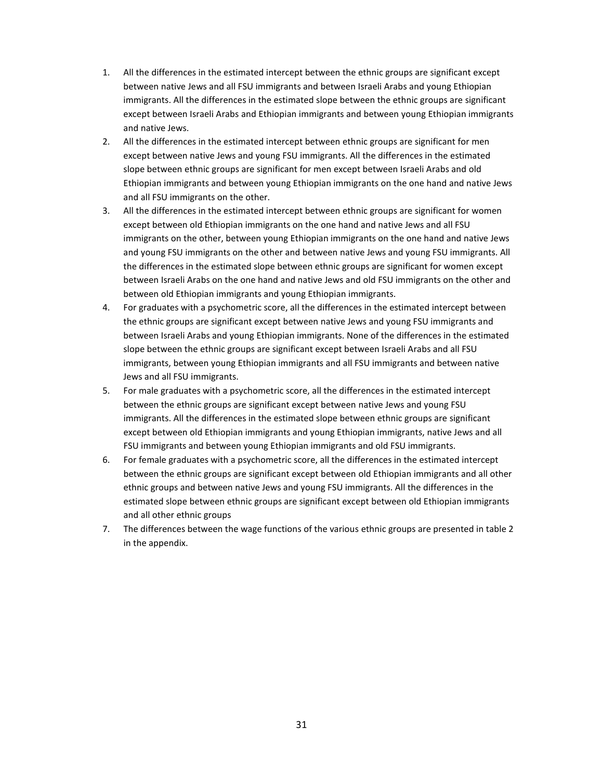- 1. All the differences in the estimated intercept between the ethnic groups are significant except between native Jews and all FSU immigrants and between Israeli Arabs and young Ethiopian immigrants. All the differences in the estimated slope between the ethnic groups are significant except between Israeli Arabs and Ethiopian immigrants and between young Ethiopian immigrants and native Jews.
- 2. All the differences in the estimated intercept between ethnic groups are significant for men except between native Jews and young FSU immigrants. All the differences in the estimated slope between ethnic groups are significant for men except between Israeli Arabs and old Ethiopian immigrants and between young Ethiopian immigrants on the one hand and native Jews and all FSU immigrants on the other.
- 3. All the differences in the estimated intercept between ethnic groups are significant for women except between old Ethiopian immigrants on the one hand and native Jews and all FSU immigrants on the other, between young Ethiopian immigrants on the one hand and native Jews and young FSU immigrants on the other and between native Jews and young FSU immigrants. All the differences in the estimated slope between ethnic groups are significant for women except between Israeli Arabs on the one hand and native Jews and old FSU immigrants on the other and between old Ethiopian immigrants and young Ethiopian immigrants.
- 4. For graduates with a psychometric score, all the differences in the estimated intercept between the ethnic groups are significant except between native Jews and young FSU immigrants and between Israeli Arabs and young Ethiopian immigrants. None of the differences in the estimated slope between the ethnic groups are significant except between Israeli Arabs and all FSU immigrants, between young Ethiopian immigrants and all FSU immigrants and between native Jews and all FSU immigrants.
- 5. For male graduates with a psychometric score, all the differences in the estimated intercept between the ethnic groups are significant except between native Jews and young FSU immigrants. All the differences in the estimated slope between ethnic groups are significant except between old Ethiopian immigrants and young Ethiopian immigrants, native Jews and all FSU immigrants and between young Ethiopian immigrants and old FSU immigrants.
- 6. For female graduates with a psychometric score, all the differences in the estimated intercept between the ethnic groups are significant except between old Ethiopian immigrants and all other ethnic groups and between native Jews and young FSU immigrants. All the differences in the estimated slope between ethnic groups are significant except between old Ethiopian immigrants and all other ethnic groups
- 7. The differences between the wage functions of the various ethnic groups are presented in table 2 in the appendix.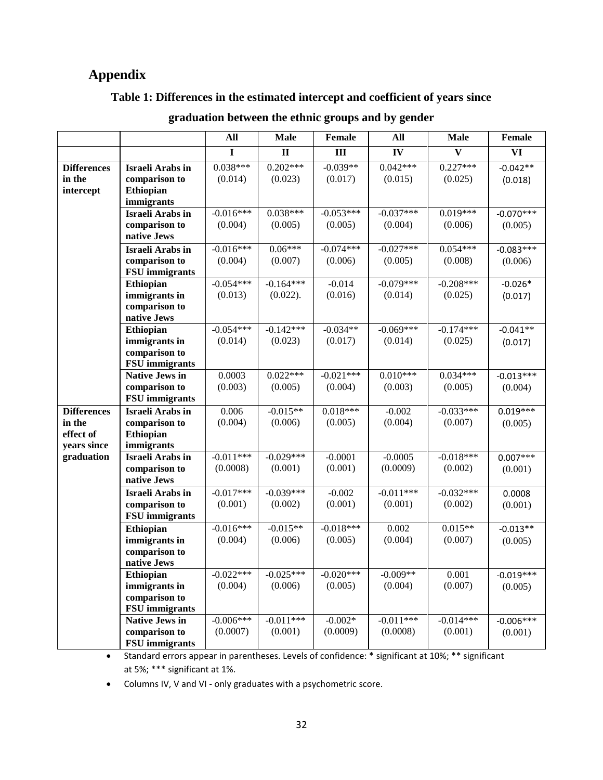# **Appendix**

#### **Table 1: Differences in the estimated intercept and coefficient of years since**

|                    |                                | All         | <b>Male</b>  | <b>Female</b>  | All         | <b>Male</b>  | Female      |
|--------------------|--------------------------------|-------------|--------------|----------------|-------------|--------------|-------------|
|                    |                                | $\mathbf I$ | $\mathbf{I}$ | $\mathbf{III}$ | IV          | $\mathbf{V}$ | VI          |
| <b>Differences</b> | <b>Israeli Arabs in</b>        | $0.038***$  | $0.202***$   | $-0.039**$     | $0.042***$  | $0.227***$   | $-0.042**$  |
| in the             | comparison to                  | (0.014)     | (0.023)      | (0.017)        | (0.015)     | (0.025)      | (0.018)     |
| intercept          | Ethiopian                      |             |              |                |             |              |             |
|                    | immigrants                     |             |              |                |             |              |             |
|                    | Israeli Arabs in               | $-0.016***$ | $0.038***$   | $-0.053***$    | $-0.037***$ | $0.019***$   | $-0.070***$ |
|                    | comparison to                  | (0.004)     | (0.005)      | (0.005)        | (0.004)     | (0.006)      | (0.005)     |
|                    | native Jews                    |             |              |                |             |              |             |
|                    | <b>Israeli Arabs in</b>        | $-0.016***$ | $0.06***$    | $-0.074***$    | $-0.027***$ | $0.054***$   | $-0.083***$ |
|                    | comparison to                  | (0.004)     | (0.007)      | (0.006)        | (0.005)     | (0.008)      | (0.006)     |
|                    | <b>FSU</b> immigrants          |             |              |                |             |              |             |
|                    | Ethiopian                      | $-0.054***$ | $-0.164***$  | $-0.014$       | $-0.079***$ | $-0.208***$  | $-0.026*$   |
|                    | immigrants in                  | (0.013)     | $(0.022)$ .  | (0.016)        | (0.014)     | (0.025)      | (0.017)     |
|                    | comparison to                  |             |              |                |             |              |             |
|                    | native Jews                    | $-0.054***$ | $-0.142***$  |                | $-0.069***$ | $-0.174***$  |             |
|                    | Ethiopian                      |             |              | $-0.034**$     |             |              | $-0.041**$  |
|                    | immigrants in<br>comparison to | (0.014)     | (0.023)      | (0.017)        | (0.014)     | (0.025)      | (0.017)     |
|                    | <b>FSU</b> immigrants          |             |              |                |             |              |             |
|                    | <b>Native Jews in</b>          | 0.0003      | $0.022***$   | $-0.021***$    | $0.010***$  | $0.034***$   | $-0.013***$ |
|                    | comparison to                  | (0.003)     | (0.005)      | (0.004)        | (0.003)     | (0.005)      | (0.004)     |
|                    | <b>FSU</b> immigrants          |             |              |                |             |              |             |
| <b>Differences</b> | <b>Israeli Arabs in</b>        | 0.006       | $-0.015**$   | $0.018***$     | $-0.002$    | $-0.033***$  | $0.019***$  |
| in the             | comparison to                  | (0.004)     | (0.006)      | (0.005)        | (0.004)     | (0.007)      | (0.005)     |
| effect of          | Ethiopian                      |             |              |                |             |              |             |
| years since        | immigrants                     |             |              |                |             |              |             |
| graduation         | <b>Israeli Arabs in</b>        | $-0.011***$ | $-0.029***$  | $-0.0001$      | $-0.0005$   | $-0.018***$  | $0.007***$  |
|                    | comparison to                  | (0.0008)    | (0.001)      | (0.001)        | (0.0009)    | (0.002)      | (0.001)     |
|                    | native Jews                    |             |              |                |             |              |             |
|                    | <b>Israeli Arabs in</b>        | $-0.017***$ | $-0.039***$  | $-0.002$       | $-0.011***$ | $-0.032***$  | 0.0008      |
|                    | comparison to                  | (0.001)     | (0.002)      | (0.001)        | (0.001)     | (0.002)      | (0.001)     |
|                    | <b>FSU</b> immigrants          |             |              |                |             |              |             |
|                    | <b>Ethiopian</b>               | $-0.016***$ | $-0.015**$   | $-0.018***$    | 0.002       | $0.015**$    | $-0.013**$  |
|                    | immigrants in                  | (0.004)     | (0.006)      | (0.005)        | (0.004)     | (0.007)      | (0.005)     |
|                    | comparison to                  |             |              |                |             |              |             |
|                    | native Jews                    |             |              |                |             |              |             |
|                    | <b>Ethiopian</b>               | $-0.022***$ | $-0.025***$  | $-0.020$ ***   | $-0.009**$  | 0.001        | $-0.019***$ |
|                    | immigrants in                  | (0.004)     | (0.006)      | (0.005)        | (0.004)     | (0.007)      | (0.005)     |
|                    | comparison to                  |             |              |                |             |              |             |
|                    | <b>FSU</b> immigrants          |             |              |                |             |              |             |
|                    | <b>Native Jews in</b>          | $-0.006***$ | $-0.011***$  | $-0.002*$      | $-0.011***$ | $-0.014***$  | $-0.006***$ |
|                    | comparison to                  | (0.0007)    | (0.001)      | (0.0009)       | (0.0008)    | (0.001)      | (0.001)     |
|                    | <b>FSU</b> immigrants          |             |              |                |             |              |             |

#### **graduation between the ethnic groups and by gender**

• Standard errors appear in parentheses. Levels of confidence: \* significant at 10%; \*\* significant at 5%; \*\*\* significant at 1%.

• Columns IV, V and VI - only graduates with a psychometric score.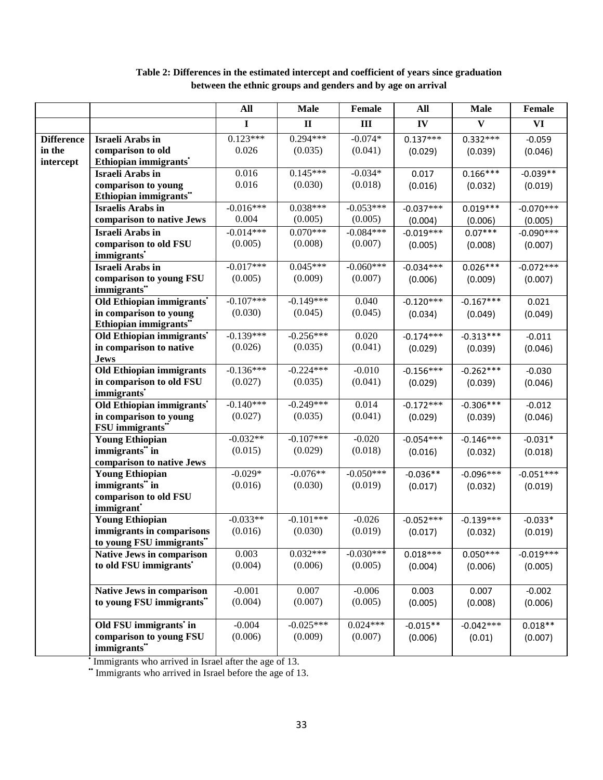|                   |                                                       | All                    | <b>Male</b>           | Female                 | All         | <b>Male</b>  | Female      |
|-------------------|-------------------------------------------------------|------------------------|-----------------------|------------------------|-------------|--------------|-------------|
|                   |                                                       | $\mathbf I$            | $\rm II$              | $\mathbf{III}$         | IV          | $\mathbf{V}$ | <b>VI</b>   |
| <b>Difference</b> | <b>Israeli Arabs in</b>                               | $0.123***$             | $0.294***$            | $-0.074*$              | $0.137***$  | $0.332***$   | $-0.059$    |
| in the            | comparison to old                                     | 0.026                  | (0.035)               | (0.041)                | (0.029)     | (0.039)      | (0.046)     |
| intercept         | Ethiopian immigrants'<br>Israeli Arabs in             | 0.016                  | $0.145***$            | $-0.034*$              | 0.017       | $0.166***$   | $-0.039**$  |
|                   | comparison to young                                   | 0.016                  | (0.030)               | (0.018)                | (0.016)     | (0.032)      | (0.019)     |
|                   | Ethiopian immigrants"                                 |                        |                       |                        |             |              |             |
|                   | <b>Israelis Arabs in</b>                              | $-0.016***$            | $0.038***$            | $-0.053***$            | $-0.037***$ | $0.019***$   | $-0.070***$ |
|                   | comparison to native Jews                             | 0.004                  | (0.005)               | (0.005)                | (0.004)     | (0.006)      | (0.005)     |
|                   | <b>Israeli Arabs in</b><br>comparison to old FSU      | $-0.014***$<br>(0.005) | $0.070***$<br>(0.008) | $-0.084***$<br>(0.007) | $-0.019***$ | $0.07***$    | $-0.090***$ |
|                   | immigrants'                                           |                        |                       |                        | (0.005)     | (0.008)      | (0.007)     |
|                   | <b>Israeli Arabs in</b>                               | $-0.017***$            | $0.045***$            | $-0.060***$            | $-0.034***$ | $0.026***$   | $-0.072***$ |
|                   | comparison to young FSU                               | (0.005)                | (0.009)               | (0.007)                | (0.006)     | (0.009)      | (0.007)     |
|                   | immigrants"                                           |                        |                       |                        |             |              |             |
|                   | Old Ethiopian immigrants'                             | $-0.107***$            | $-0.149***$           | 0.040                  | $-0.120***$ | $-0.167***$  | 0.021       |
|                   | in comparison to young<br>Ethiopian immigrants"       | (0.030)                | (0.045)               | (0.045)                | (0.034)     | (0.049)      | (0.049)     |
|                   | Old Ethiopian immigrants'                             | $-0.139***$            | $-0.256***$           | 0.020                  | $-0.174***$ | $-0.313***$  | $-0.011$    |
|                   | in comparison to native                               | (0.026)                | (0.035)               | (0.041)                | (0.029)     | (0.039)      | (0.046)     |
|                   | <b>Jews</b>                                           |                        |                       |                        |             |              |             |
|                   | <b>Old Ethiopian immigrants</b>                       | $-0.136***$            | $-0.224***$           | $-0.010$               | $-0.156***$ | $-0.262***$  | $-0.030$    |
|                   | in comparison to old FSU<br>immigrants'               | (0.027)                | (0.035)               | (0.041)                | (0.029)     | (0.039)      | (0.046)     |
|                   | Old Ethiopian immigrants'                             | $-0.140***$            | $-0.249***$           | 0.014                  | $-0.172***$ | $-0.306***$  | $-0.012$    |
|                   | in comparison to young                                | (0.027)                | (0.035)               | (0.041)                | (0.029)     | (0.039)      | (0.046)     |
|                   | FSU immigrants"                                       |                        |                       |                        |             |              |             |
|                   | <b>Young Ethiopian</b>                                | $-0.032**$             | $-0.107***$           | $-0.020$               | $-0.054***$ | $-0.146***$  | $-0.031*$   |
|                   | immigrants" in<br>comparison to native Jews           | (0.015)                | (0.029)               | (0.018)                | (0.016)     | (0.032)      | (0.018)     |
|                   | <b>Young Ethiopian</b>                                | $-0.029*$              | $-0.076**$            | $-0.050***$            | $-0.036**$  | $-0.096***$  | $-0.051***$ |
|                   | immigrants" in                                        | (0.016)                | (0.030)               | (0.019)                | (0.017)     | (0.032)      | (0.019)     |
|                   | comparison to old FSU                                 |                        |                       |                        |             |              |             |
|                   | immigrant'                                            |                        |                       |                        |             |              |             |
|                   | <b>Young Ethiopian</b>                                | $-0.033**$             | $-0.101***$           | $-0.026$<br>(0.019)    | $-0.052***$ | $-0.139***$  | $-0.033*$   |
|                   | immigrants in comparisons<br>to young FSU immigrants" | (0.016)                | (0.030)               |                        | (0.017)     | (0.032)      | (0.019)     |
|                   | <b>Native Jews in comparison</b>                      | 0.003                  | $0.032***$            | $-0.030***$            | $0.018***$  | $0.050***$   | $-0.019***$ |
|                   | to old FSU immigrants'                                | (0.004)                | (0.006)               | (0.005)                | (0.004)     | (0.006)      | (0.005)     |
|                   |                                                       |                        |                       |                        |             |              |             |
|                   | <b>Native Jews in comparison</b>                      | $-0.001$               | 0.007                 | $-0.006$               | 0.003       | 0.007        | $-0.002$    |
|                   | to young FSU immigrants"                              | (0.004)                | (0.007)               | (0.005)                | (0.005)     | (0.008)      | (0.006)     |
|                   | Old FSU immigrants' in                                | $-0.004$               | $-0.025***$           | $0.024***$             | $-0.015**$  | $-0.042***$  | $0.018**$   |
|                   | comparison to young FSU                               | (0.006)                | (0.009)               | (0.007)                | (0.006)     | (0.01)       | (0.007)     |
|                   | immigrants"                                           |                        |                       |                        |             |              |             |

#### **Table 2: Differences in the estimated intercept and coefficient of years since graduation between the ethnic groups and genders and by age on arrival**

**•** Immigrants who arrived in Israel after the age of 13.

**••** Immigrants who arrived in Israel before the age of 13.